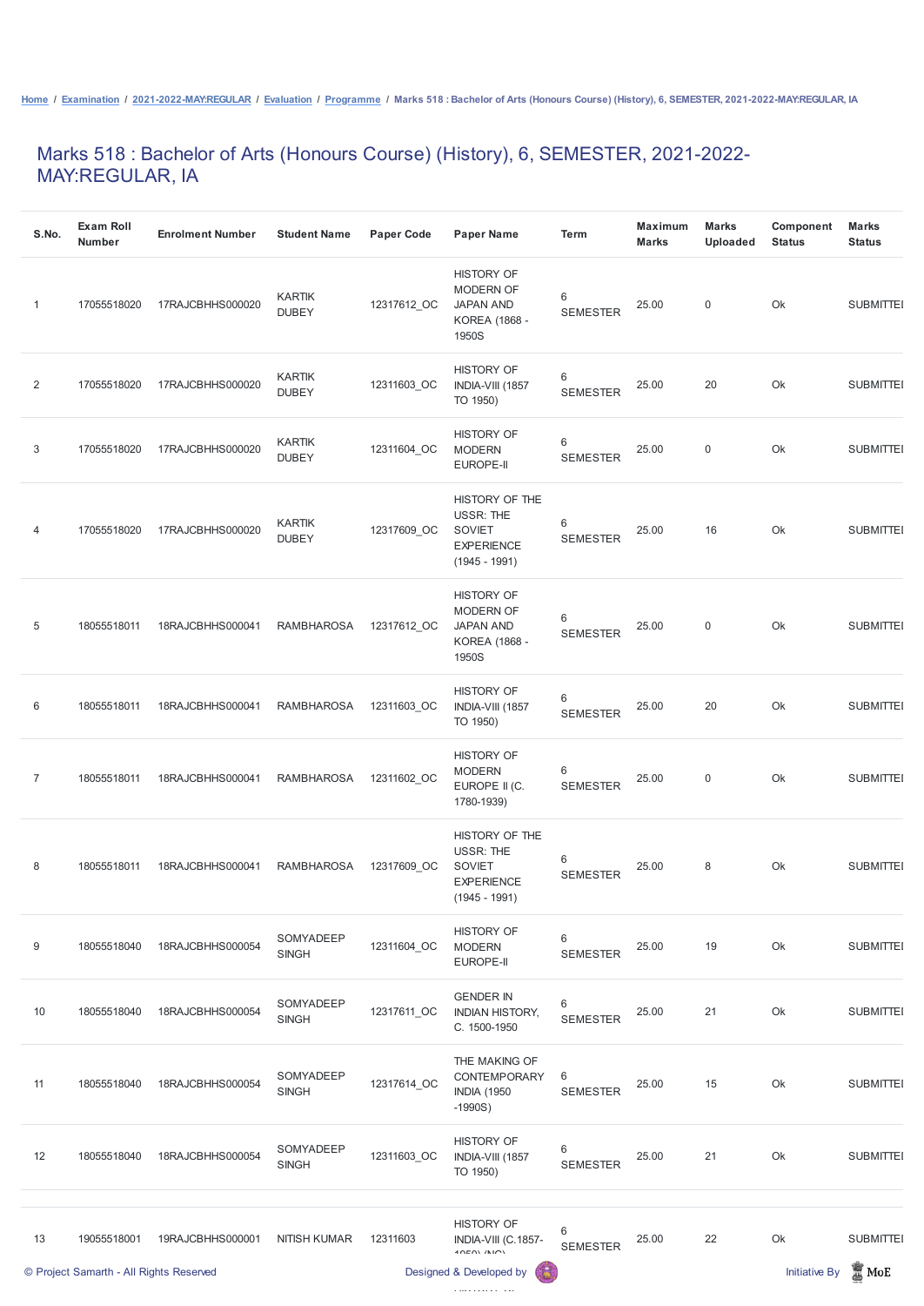## Marks 518 : Bachelor of Arts (Honours Course) (History), 6, SEMESTER, 2021-2022- MAY:REGULAR, IA

| S.No.          | <b>Exam Roll</b><br><b>Number</b> | <b>Enrolment Number</b>                 | <b>Student Name</b>           | <b>Paper Code</b> | <b>Paper Name</b>                                                                           | <b>Term</b>              | <b>Maximum</b><br><b>Marks</b> | <b>Marks</b><br><b>Uploaded</b> | Component<br><b>Status</b> | <b>Marks</b><br><b>Status</b> |
|----------------|-----------------------------------|-----------------------------------------|-------------------------------|-------------------|---------------------------------------------------------------------------------------------|--------------------------|--------------------------------|---------------------------------|----------------------------|-------------------------------|
| 1              | 17055518020                       | 17RAJCBHHS000020                        | <b>KARTIK</b><br><b>DUBEY</b> | 12317612_OC       | <b>HISTORY OF</b><br><b>MODERN OF</b><br><b>JAPAN AND</b><br>KOREA (1868 -<br>1950S         | 6<br><b>SEMESTER</b>     | 25.00                          | $\mathbf 0$                     | Ok                         | <b>SUBMITTEI</b>              |
| 2              | 17055518020                       | 17RAJCBHHS000020                        | <b>KARTIK</b><br><b>DUBEY</b> | 12311603_OC       | <b>HISTORY OF</b><br>INDIA-VIII (1857<br>TO 1950)                                           | $6\,$<br><b>SEMESTER</b> | 25.00                          | 20                              | Ok                         | <b>SUBMITTEI</b>              |
| 3              | 17055518020                       | 17RAJCBHHS000020                        | <b>KARTIK</b><br><b>DUBEY</b> | 12311604_OC       | <b>HISTORY OF</b><br><b>MODERN</b><br><b>EUROPE-II</b>                                      | $6\,$<br><b>SEMESTER</b> | 25.00                          | $\mathbf 0$                     | Ok                         | <b>SUBMITTEI</b>              |
| 4              | 17055518020                       | 17RAJCBHHS000020                        | <b>KARTIK</b><br><b>DUBEY</b> | 12317609_OC       | HISTORY OF THE<br><b>USSR: THE</b><br><b>SOVIET</b><br><b>EXPERIENCE</b><br>$(1945 - 1991)$ | 6<br><b>SEMESTER</b>     | 25.00                          | 16                              | Ok                         | <b>SUBMITTEI</b>              |
| $\overline{5}$ | 18055518011                       | 18RAJCBHHS000041                        | <b>RAMBHAROSA</b>             | 12317612_OC       | <b>HISTORY OF</b><br><b>MODERN OF</b><br><b>JAPAN AND</b><br>KOREA (1868 -<br>1950S         | 6<br><b>SEMESTER</b>     | 25.00                          | $\mathbf 0$                     | Ok                         | <b>SUBMITTEI</b>              |
| 6              | 18055518011                       | 18RAJCBHHS000041 RAMBHAROSA 12311603_OC |                               |                   | <b>HISTORY OF</b><br>INDIA-VIII (1857<br>TO 1950)                                           | 6<br><b>SEMESTER</b>     | 25.00                          | 20                              | Ok                         | <b>SUBMITTEI</b>              |
| $\overline{7}$ | 18055518011                       | 18RAJCBHHS000041                        | <b>RAMBHAROSA</b>             | 12311602_OC       | <b>HISTORY OF</b><br><b>MODERN</b><br>EUROPE II (C.<br>1780-1939)                           | 6<br><b>SEMESTER</b>     | 25.00                          | $\overline{0}$                  | Ok                         | <b>SUBMITTEI</b>              |
| 8              | 18055518011                       | 18RAJCBHHS000041                        | <b>RAMBHAROSA</b>             | 12317609 OC       | HISTORY OF THE<br><b>USSR: THE</b><br><b>SOVIET</b><br><b>EXPERIENCE</b><br>$(1945 - 1991)$ | 6<br><b>SEMESTER</b>     | 25.00                          | 8                               | Ok                         | <b>SUBMITTEI</b>              |
| 9              | 18055518040                       | 18RAJCBHHS000054                        | SOMYADEEP<br><b>SINGH</b>     | 12311604 OC       | <b>HISTORY OF</b><br><b>MODERN</b><br>EUROPE-II                                             | 6<br><b>SEMESTER</b>     | 25.00                          | 19                              | Ok                         | <b>SUBMITTEI</b>              |

|    | © Project Samarth - All Rights Reserved |                  |                           |             | 6<br>Designed & Developed by                                             |                                   |       |    | <b>Initiative By</b> | $\mathbb{Z}$ MoE |
|----|-----------------------------------------|------------------|---------------------------|-------------|--------------------------------------------------------------------------|-----------------------------------|-------|----|----------------------|------------------|
| 13 | 19055518001                             | 19RAJCBHHS000001 | <b>NITISH KUMAR</b>       | 12311603    | <b>HISTORY OF</b><br>INDIA-VIII (C.1857-<br>$40E(N)$ $(N1C)$             | 6<br><b>SEMESTER</b>              | 25.00 | 22 | Ok                   | <b>SUBMITTEI</b> |
| 12 | 18055518040                             | 18RAJCBHHS000054 | SOMYADEEP<br><b>SINGH</b> | 12311603_OC | <b>HISTORY OF</b><br>INDIA-VIII (1857<br>TO 1950)                        | 6<br><b>SEMESTER</b>              | 25.00 | 21 | Ok                   | <b>SUBMITTEI</b> |
| 11 | 18055518040                             | 18RAJCBHHS000054 | SOMYADEEP<br><b>SINGH</b> | 12317614_OC | THE MAKING OF<br><b>CONTEMPORARY</b><br><b>INDIA (1950)</b><br>$-1990S)$ | 6<br><b>SEMESTER</b>              | 25.00 | 15 | Ok                   | <b>SUBMITTEI</b> |
| 10 | 18055518040                             | 18RAJCBHHS000054 | SOMYADEEP<br><b>SINGH</b> | 12317611_OC | <b>GENDER IN</b><br><b>INDIAN HISTORY,</b><br>C. 1500-1950               | $6\phantom{1}$<br><b>SEMESTER</b> | 25.00 | 21 | Ok                   | <b>SUBMITTEI</b> |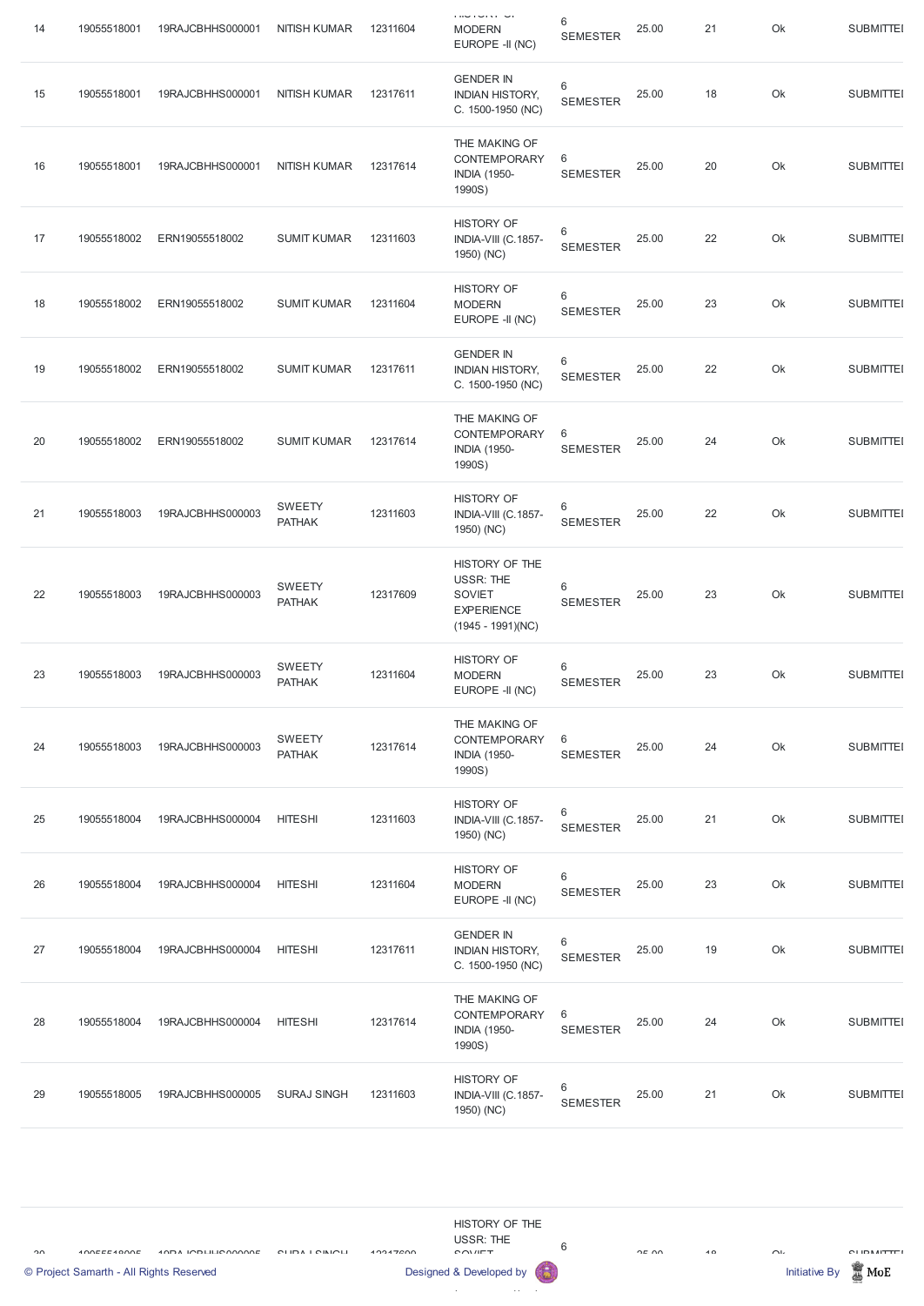| 14 | 19055518001 | 19RAJCBHHS000001 | <b>NITISH KUMAR</b>            | 12311604 | <b>THU TUTTE</b><br><b>MODERN</b><br>EUROPE -II (NC)                                            | 6<br><b>SEMESTER</b>     | 25.00 | 21 | Ok | <b>SUBMITTEI</b> |
|----|-------------|------------------|--------------------------------|----------|-------------------------------------------------------------------------------------------------|--------------------------|-------|----|----|------------------|
| 15 | 19055518001 | 19RAJCBHHS000001 | <b>NITISH KUMAR</b>            | 12317611 | <b>GENDER IN</b><br><b>INDIAN HISTORY,</b><br>C. 1500-1950 (NC)                                 | 6<br><b>SEMESTER</b>     | 25.00 | 18 | Ok | <b>SUBMITTEI</b> |
| 16 | 19055518001 | 19RAJCBHHS000001 | <b>NITISH KUMAR</b>            | 12317614 | THE MAKING OF<br><b>CONTEMPORARY</b><br><b>INDIA (1950-</b><br>1990S)                           | 6<br><b>SEMESTER</b>     | 25.00 | 20 | Ok | <b>SUBMITTEI</b> |
| 17 | 19055518002 | ERN19055518002   | <b>SUMIT KUMAR</b>             | 12311603 | <b>HISTORY OF</b><br>INDIA-VIII (C.1857-<br>1950) (NC)                                          | 6<br><b>SEMESTER</b>     | 25.00 | 22 | Ok | <b>SUBMITTEI</b> |
| 18 | 19055518002 | ERN19055518002   | <b>SUMIT KUMAR</b>             | 12311604 | <b>HISTORY OF</b><br><b>MODERN</b><br>EUROPE -II (NC)                                           | 6<br><b>SEMESTER</b>     | 25.00 | 23 | Ok | <b>SUBMITTEI</b> |
| 19 | 19055518002 | ERN19055518002   | <b>SUMIT KUMAR</b>             | 12317611 | <b>GENDER IN</b><br><b>INDIAN HISTORY,</b><br>C. 1500-1950 (NC)                                 | 6<br><b>SEMESTER</b>     | 25.00 | 22 | Ok | <b>SUBMITTEI</b> |
| 20 | 19055518002 | ERN19055518002   | <b>SUMIT KUMAR</b>             | 12317614 | THE MAKING OF<br>CONTEMPORARY<br><b>INDIA (1950-</b><br>1990S)                                  | 6<br><b>SEMESTER</b>     | 25.00 | 24 | Ok | <b>SUBMITTEI</b> |
| 21 | 19055518003 | 19RAJCBHHS000003 | <b>SWEETY</b><br><b>PATHAK</b> | 12311603 | <b>HISTORY OF</b><br>INDIA-VIII (C.1857-<br>1950) (NC)                                          | 6<br><b>SEMESTER</b>     | 25.00 | 22 | Ok | <b>SUBMITTEI</b> |
| 22 | 19055518003 | 19RAJCBHHS000003 | <b>SWEETY</b><br><b>PATHAK</b> | 12317609 | HISTORY OF THE<br><b>USSR: THE</b><br><b>SOVIET</b><br><b>EXPERIENCE</b><br>$(1945 - 1991)(NC)$ | 6<br><b>SEMESTER</b>     | 25.00 | 23 | Ok | <b>SUBMITTEI</b> |
| 23 | 19055518003 | 19RAJCBHHS000003 | SWEETY<br><b>PATHAK</b>        | 12311604 | <b>HISTORY OF</b><br><b>MODERN</b><br>EUROPE -II (NC)                                           | $\,6$<br><b>SEMESTER</b> | 25.00 | 23 | Ok | <b>SUBMITTEI</b> |
| 24 | 19055518003 | 19RAJCBHHS000003 | <b>SWEETY</b><br><b>PATHAK</b> | 12317614 | THE MAKING OF<br><b>CONTEMPORARY</b><br><b>INDIA (1950-</b><br>1990S)                           | 6<br><b>SEMESTER</b>     | 25.00 | 24 | Ok | <b>SUBMITTEI</b> |
| 25 | 19055518004 | 19RAJCBHHS000004 | <b>HITESHI</b>                 | 12311603 | <b>HISTORY OF</b><br>INDIA-VIII (C.1857-<br>1950) (NC)                                          | 6<br><b>SEMESTER</b>     | 25.00 | 21 | Ok | <b>SUBMITTEI</b> |
| 26 | 19055518004 | 19RAJCBHHS000004 | <b>HITESHI</b>                 | 12311604 | <b>HISTORY OF</b><br><b>MODERN</b><br>EUROPE -II (NC)                                           | 6<br><b>SEMESTER</b>     | 25.00 | 23 | Ok | <b>SUBMITTEI</b> |
| 27 | 19055518004 | 19RAJCBHHS000004 | <b>HITESHI</b>                 | 12317611 | <b>GENDER IN</b><br><b>INDIAN HISTORY,</b><br>C. 1500-1950 (NC)                                 | 6<br><b>SEMESTER</b>     | 25.00 | 19 | Ok | <b>SUBMITTEI</b> |

| 28 | 19055518004 | 19RAJCBHHS000004 | <b>HITESHI</b>     | 12317614 | THE MAKING OF<br><b>CONTEMPORARY</b><br><b>INDIA (1950-</b><br>1990S) | 6<br><b>SEMESTER</b> | 25.00 | 24 | Ok | <b>SUBMITTEI</b> |
|----|-------------|------------------|--------------------|----------|-----------------------------------------------------------------------|----------------------|-------|----|----|------------------|
| 29 | 19055518005 | 19RAJCBHHS000005 | <b>SURAJ SINGH</b> | 12311603 | <b>HISTORY OF</b><br>INDIA-VIII (C.1857-<br>1950) (NC)                | 6<br><b>SEMESTER</b> | 25.00 | 21 | Ok | <b>SUBMITTEI</b> |

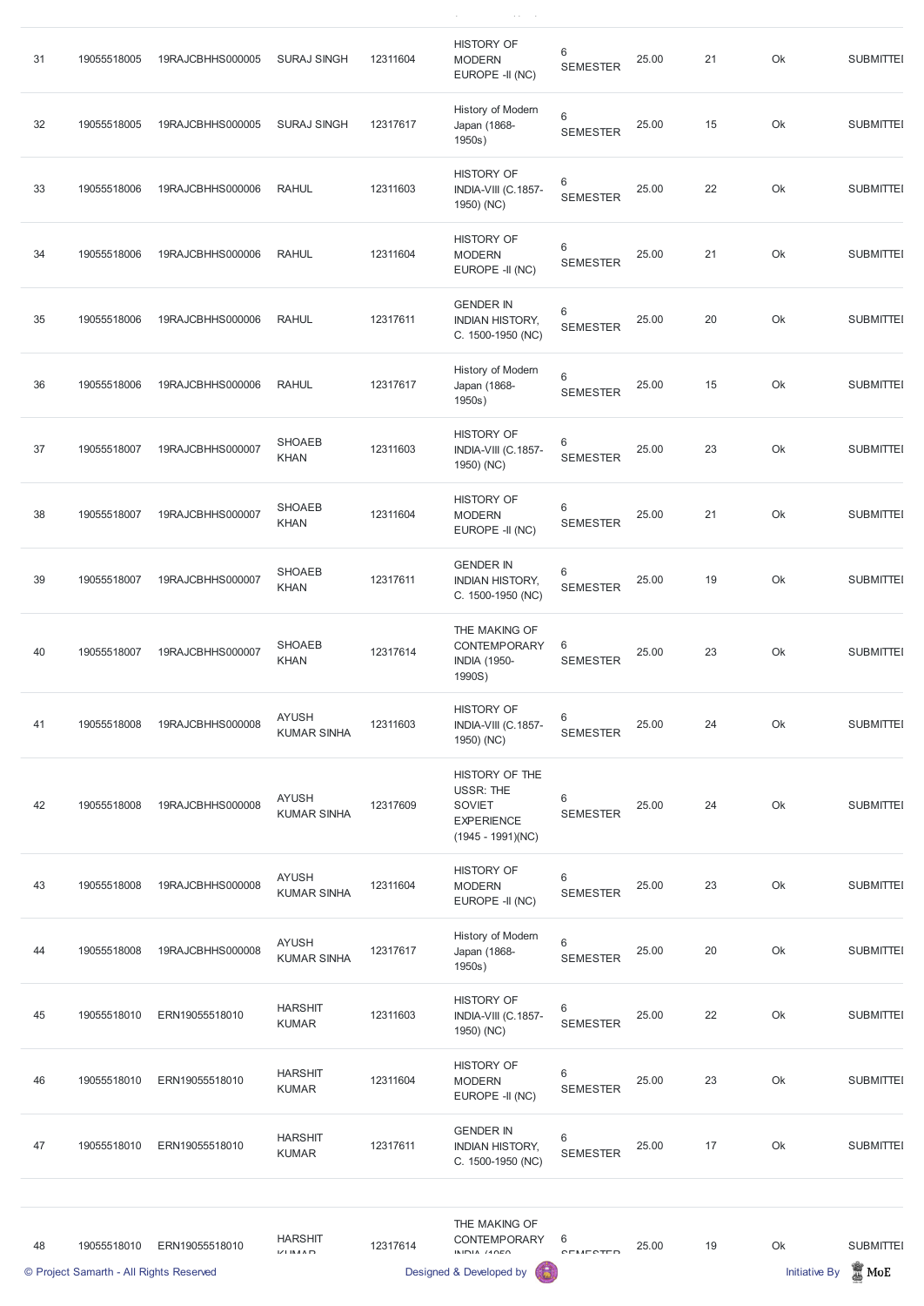| 31 | 19055518005 | 19RAJCBHHS000005 | <b>SURAJ SINGH</b>                 | 12311604 | <b>HISTORY OF</b><br><b>MODERN</b><br>EUROPE -II (NC)                                           | $\,6$<br><b>SEMESTER</b>   | 25.00 | 21 | Ok | <b>SUBMITTEI</b> |
|----|-------------|------------------|------------------------------------|----------|-------------------------------------------------------------------------------------------------|----------------------------|-------|----|----|------------------|
| 32 | 19055518005 | 19RAJCBHHS000005 | <b>SURAJ SINGH</b>                 | 12317617 | History of Modern<br>Japan (1868-<br>1950s)                                                     | $\,6\,$<br><b>SEMESTER</b> | 25.00 | 15 | Ok | <b>SUBMITTEI</b> |
| 33 | 19055518006 | 19RAJCBHHS000006 | <b>RAHUL</b>                       | 12311603 | <b>HISTORY OF</b><br>INDIA-VIII (C.1857-<br>1950) (NC)                                          | 6<br><b>SEMESTER</b>       | 25.00 | 22 | Ok | <b>SUBMITTEI</b> |
| 34 | 19055518006 | 19RAJCBHHS000006 | <b>RAHUL</b>                       | 12311604 | <b>HISTORY OF</b><br><b>MODERN</b><br>EUROPE -II (NC)                                           | $\,6$<br><b>SEMESTER</b>   | 25.00 | 21 | Ok | <b>SUBMITTEI</b> |
| 35 | 19055518006 | 19RAJCBHHS000006 | <b>RAHUL</b>                       | 12317611 | <b>GENDER IN</b><br><b>INDIAN HISTORY,</b><br>C. 1500-1950 (NC)                                 | 6<br><b>SEMESTER</b>       | 25.00 | 20 | Ok | <b>SUBMITTEI</b> |
| 36 | 19055518006 | 19RAJCBHHS000006 | <b>RAHUL</b>                       | 12317617 | History of Modern<br>Japan (1868-<br>1950s)                                                     | $\,6\,$<br><b>SEMESTER</b> | 25.00 | 15 | Ok | <b>SUBMITTEI</b> |
| 37 | 19055518007 | 19RAJCBHHS000007 | <b>SHOAEB</b><br>KHAN              | 12311603 | <b>HISTORY OF</b><br>INDIA-VIII (C.1857-<br>1950) (NC)                                          | 6<br><b>SEMESTER</b>       | 25.00 | 23 | Ok | <b>SUBMITTEI</b> |
| 38 | 19055518007 | 19RAJCBHHS000007 | <b>SHOAEB</b><br>KHAN              | 12311604 | <b>HISTORY OF</b><br><b>MODERN</b><br>EUROPE -II (NC)                                           | 6<br><b>SEMESTER</b>       | 25.00 | 21 | Ok | <b>SUBMITTEI</b> |
| 39 | 19055518007 | 19RAJCBHHS000007 | <b>SHOAEB</b><br><b>KHAN</b>       | 12317611 | <b>GENDER IN</b><br><b>INDIAN HISTORY,</b><br>C. 1500-1950 (NC)                                 | $6\,$<br><b>SEMESTER</b>   | 25.00 | 19 | Ok | <b>SUBMITTEI</b> |
| 40 | 19055518007 | 19RAJCBHHS000007 | <b>SHOAEB</b><br><b>KHAN</b>       | 12317614 | THE MAKING OF<br><b>CONTEMPORARY</b><br><b>INDIA (1950-</b><br>1990S)                           | 6<br><b>SEMESTER</b>       | 25.00 | 23 | Ok | <b>SUBMITTEI</b> |
| 41 | 19055518008 | 19RAJCBHHS000008 | <b>AYUSH</b><br><b>KUMAR SINHA</b> | 12311603 | <b>HISTORY OF</b><br>INDIA-VIII (C.1857-<br>1950) (NC)                                          | 6<br><b>SEMESTER</b>       | 25.00 | 24 | Ok | <b>SUBMITTEI</b> |
| 42 | 19055518008 | 19RAJCBHHS000008 | <b>AYUSH</b><br><b>KUMAR SINHA</b> | 12317609 | HISTORY OF THE<br><b>USSR: THE</b><br><b>SOVIET</b><br><b>EXPERIENCE</b><br>$(1945 - 1991)(NC)$ | 6<br><b>SEMESTER</b>       | 25.00 | 24 | Ok | <b>SUBMITTEI</b> |
| 43 | 19055518008 | 19RAJCBHHS000008 | <b>AYUSH</b><br><b>KUMAR SINHA</b> | 12311604 | <b>HISTORY OF</b><br><b>MODERN</b><br>EUROPE -II (NC)                                           | $\,6$<br><b>SEMESTER</b>   | 25.00 | 23 | Ok | <b>SUBMITTEI</b> |
| 44 | 19055518008 | 19RAJCBHHS000008 | <b>AYUSH</b><br><b>KUMAR SINHA</b> | 12317617 | History of Modern<br>Japan (1868-<br>1950s)                                                     | $\,6$<br><b>SEMESTER</b>   | 25.00 | 20 | Ok | <b>SUBMITTEI</b> |

 $\hat{N}$  ( ) and ) and  $\hat{N}$  ( ) and ) and ) and ) and ) and ) and ) and ) and ) and ) and ) and ) and ) and ) and ) and ) and ) and ) and ) and ) and ) and ) and ) and ) and ) and ) and ) and ) and ) and ) and ) and ) a

|    | © Project Samarth - All Rights Reserved |                |                                          |          | Designed & Developed by                                         |                            |       |    | <b>Initiative By</b> | $\frac{1}{20}$ MoE |
|----|-----------------------------------------|----------------|------------------------------------------|----------|-----------------------------------------------------------------|----------------------------|-------|----|----------------------|--------------------|
| 48 | 19055518010                             | ERN19055518010 | <b>HARSHIT</b><br>$L'/L$ in $A \wedge D$ | 12317614 | THE MAKING OF<br><b>CONTEMPORARY</b><br>$ININIA$ $110E0$        | 6<br>CEMECTED              | 25.00 | 19 | Ok                   | <b>SUBMITTEI</b>   |
| 47 | 19055518010                             | ERN19055518010 | <b>HARSHIT</b><br><b>KUMAR</b>           | 12317611 | <b>GENDER IN</b><br><b>INDIAN HISTORY,</b><br>C. 1500-1950 (NC) | $\,6\,$<br><b>SEMESTER</b> | 25.00 | 17 | Ok                   | <b>SUBMITTEI</b>   |
| 46 | 19055518010                             | ERN19055518010 | <b>HARSHIT</b><br><b>KUMAR</b>           | 12311604 | <b>HISTORY OF</b><br><b>MODERN</b><br>EUROPE -II (NC)           | 6<br><b>SEMESTER</b>       | 25.00 | 23 | Ok                   | <b>SUBMITTEI</b>   |
| 45 | 19055518010                             | ERN19055518010 | <b>HARSHIT</b><br><b>KUMAR</b>           | 12311603 | <b>HISTORY OF</b><br>INDIA-VIII (C.1857-<br>1950) (NC)          | 6<br><b>SEMESTER</b>       | 25.00 | 22 | Ok                   | <b>SUBMITTEI</b>   |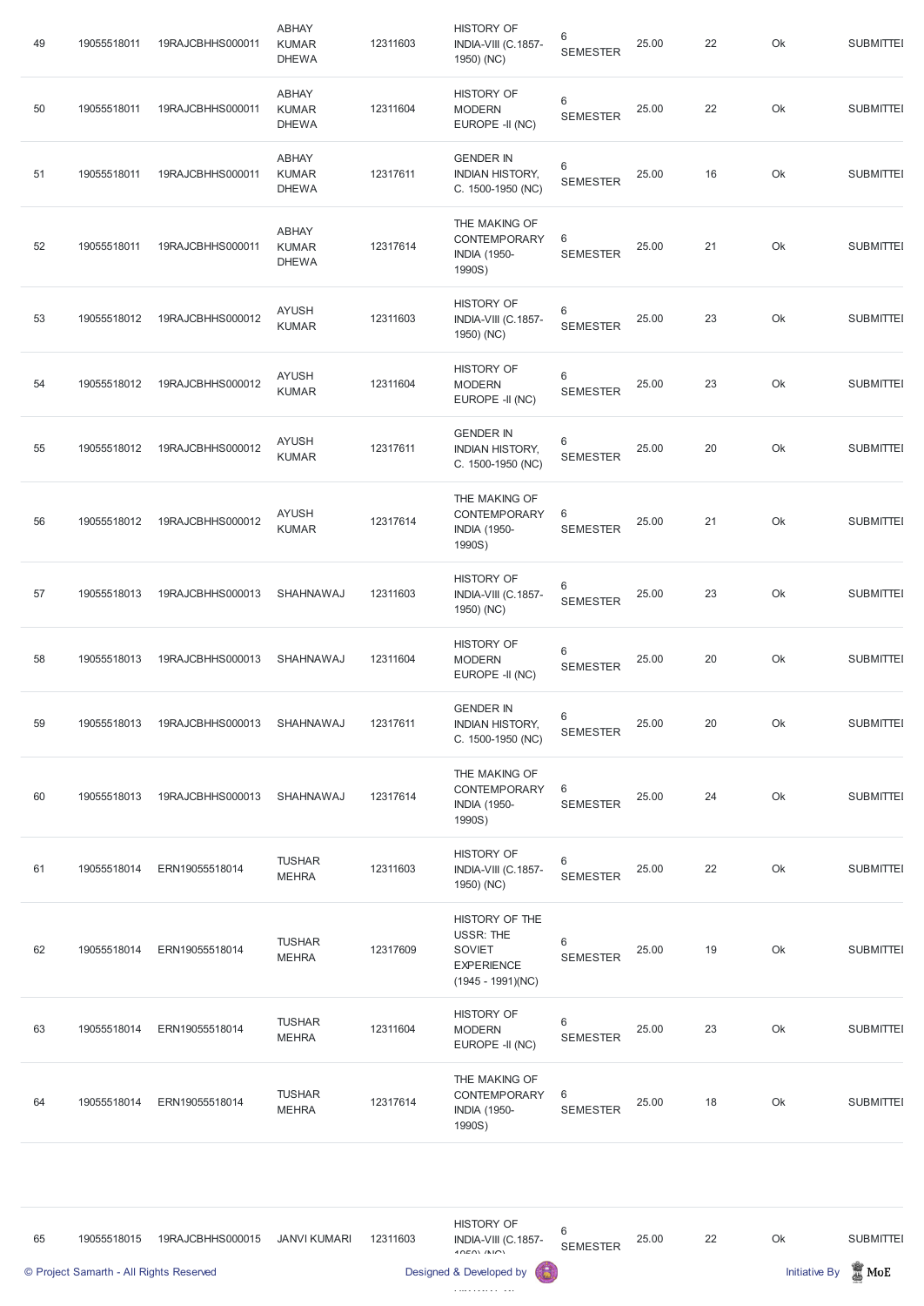| 49 | 19055518011 | 19RAJCBHHS000011 | <b>ABHAY</b><br><b>KUMAR</b><br><b>DHEWA</b> | 12311603 | <b>HISTORY OF</b><br>INDIA-VIII (C.1857-<br>1950) (NC)                                          | 6<br><b>SEMESTER</b>     | 25.00 | 22 | Ok | <b>SUBMITTEI</b> |
|----|-------------|------------------|----------------------------------------------|----------|-------------------------------------------------------------------------------------------------|--------------------------|-------|----|----|------------------|
| 50 | 19055518011 | 19RAJCBHHS000011 | <b>ABHAY</b><br><b>KUMAR</b><br><b>DHEWA</b> | 12311604 | <b>HISTORY OF</b><br><b>MODERN</b><br>EUROPE -II (NC)                                           | $\,6$<br><b>SEMESTER</b> | 25.00 | 22 | Ok | <b>SUBMITTEI</b> |
| 51 | 19055518011 | 19RAJCBHHS000011 | <b>ABHAY</b><br><b>KUMAR</b><br><b>DHEWA</b> | 12317611 | <b>GENDER IN</b><br><b>INDIAN HISTORY,</b><br>C. 1500-1950 (NC)                                 | 6<br><b>SEMESTER</b>     | 25.00 | 16 | Ok | <b>SUBMITTEI</b> |
| 52 | 19055518011 | 19RAJCBHHS000011 | <b>ABHAY</b><br><b>KUMAR</b><br><b>DHEWA</b> | 12317614 | THE MAKING OF<br><b>CONTEMPORARY</b><br><b>INDIA (1950-</b><br>1990S)                           | 6<br><b>SEMESTER</b>     | 25.00 | 21 | Ok | <b>SUBMITTEI</b> |
| 53 | 19055518012 | 19RAJCBHHS000012 | <b>AYUSH</b><br><b>KUMAR</b>                 | 12311603 | <b>HISTORY OF</b><br>INDIA-VIII (C.1857-<br>1950) (NC)                                          | 6<br><b>SEMESTER</b>     | 25.00 | 23 | Ok | <b>SUBMITTEI</b> |
| 54 | 19055518012 | 19RAJCBHHS000012 | <b>AYUSH</b><br><b>KUMAR</b>                 | 12311604 | <b>HISTORY OF</b><br><b>MODERN</b><br>EUROPE -II (NC)                                           | 6<br><b>SEMESTER</b>     | 25.00 | 23 | Ok | <b>SUBMITTEI</b> |
| 55 | 19055518012 | 19RAJCBHHS000012 | <b>AYUSH</b><br><b>KUMAR</b>                 | 12317611 | <b>GENDER IN</b><br><b>INDIAN HISTORY,</b><br>C. 1500-1950 (NC)                                 | 6<br><b>SEMESTER</b>     | 25.00 | 20 | Ok | <b>SUBMITTEI</b> |
| 56 | 19055518012 | 19RAJCBHHS000012 | <b>AYUSH</b><br><b>KUMAR</b>                 | 12317614 | THE MAKING OF<br>CONTEMPORARY<br><b>INDIA (1950-</b><br>1990S)                                  | 6<br><b>SEMESTER</b>     | 25.00 | 21 | Ok | <b>SUBMITTEI</b> |
| 57 | 19055518013 | 19RAJCBHHS000013 | SHAHNAWAJ                                    | 12311603 | <b>HISTORY OF</b><br>INDIA-VIII (C.1857-<br>1950) (NC)                                          | 6<br><b>SEMESTER</b>     | 25.00 | 23 | Ok | <b>SUBMITTEI</b> |
| 58 | 19055518013 | 19RAJCBHHS000013 | SHAHNAWAJ                                    | 12311604 | <b>HISTORY OF</b><br><b>MODERN</b><br>EUROPE -II (NC)                                           | 6<br><b>SEMESTER</b>     | 25.00 | 20 | Ok | <b>SUBMITTEI</b> |
| 59 | 19055518013 | 19RAJCBHHS000013 | SHAHNAWAJ                                    | 12317611 | <b>GENDER IN</b><br><b>INDIAN HISTORY,</b><br>C. 1500-1950 (NC)                                 | 6<br><b>SEMESTER</b>     | 25.00 | 20 | Ok | <b>SUBMITTEI</b> |
| 60 | 19055518013 | 19RAJCBHHS000013 | SHAHNAWAJ                                    | 12317614 | THE MAKING OF<br><b>CONTEMPORARY</b><br><b>INDIA (1950-</b><br>1990S)                           | 6<br><b>SEMESTER</b>     | 25.00 | 24 | Ok | <b>SUBMITTEI</b> |
| 61 | 19055518014 | ERN19055518014   | <b>TUSHAR</b><br><b>MEHRA</b>                | 12311603 | <b>HISTORY OF</b><br>INDIA-VIII (C.1857-<br>1950) (NC)                                          | 6<br><b>SEMESTER</b>     | 25.00 | 22 | Ok | <b>SUBMITTEI</b> |
| 62 | 19055518014 | ERN19055518014   | <b>TUSHAR</b><br><b>MEHRA</b>                | 12317609 | HISTORY OF THE<br><b>USSR: THE</b><br><b>SOVIET</b><br><b>EXPERIENCE</b><br>$(1945 - 1991)(NC)$ | 6<br><b>SEMESTER</b>     | 25.00 | 19 | Ok | <b>SUBMITTEI</b> |

| 63 | 19055518014 | ERN19055518014 | <b>TUSHAR</b><br><b>MEHRA</b> | 12311604 | <b>HISTORY OF</b><br><b>MODERN</b><br>EUROPE -II (NC)                 | 6<br><b>SEMESTER</b> | 25.00 | 23 | Ok | <b>SUBMITTEI</b> |
|----|-------------|----------------|-------------------------------|----------|-----------------------------------------------------------------------|----------------------|-------|----|----|------------------|
| 64 | 19055518014 | ERN19055518014 | <b>TUSHAR</b><br><b>MEHRA</b> | 12317614 | THE MAKING OF<br><b>CONTEMPORARY</b><br><b>INDIA (1950-</b><br>1990S) | 6<br><b>SEMESTER</b> | 25.00 | 18 | Ok | <b>SUBMITTEI</b> |
|    |             |                |                               |          |                                                                       |                      |       |    |    |                  |

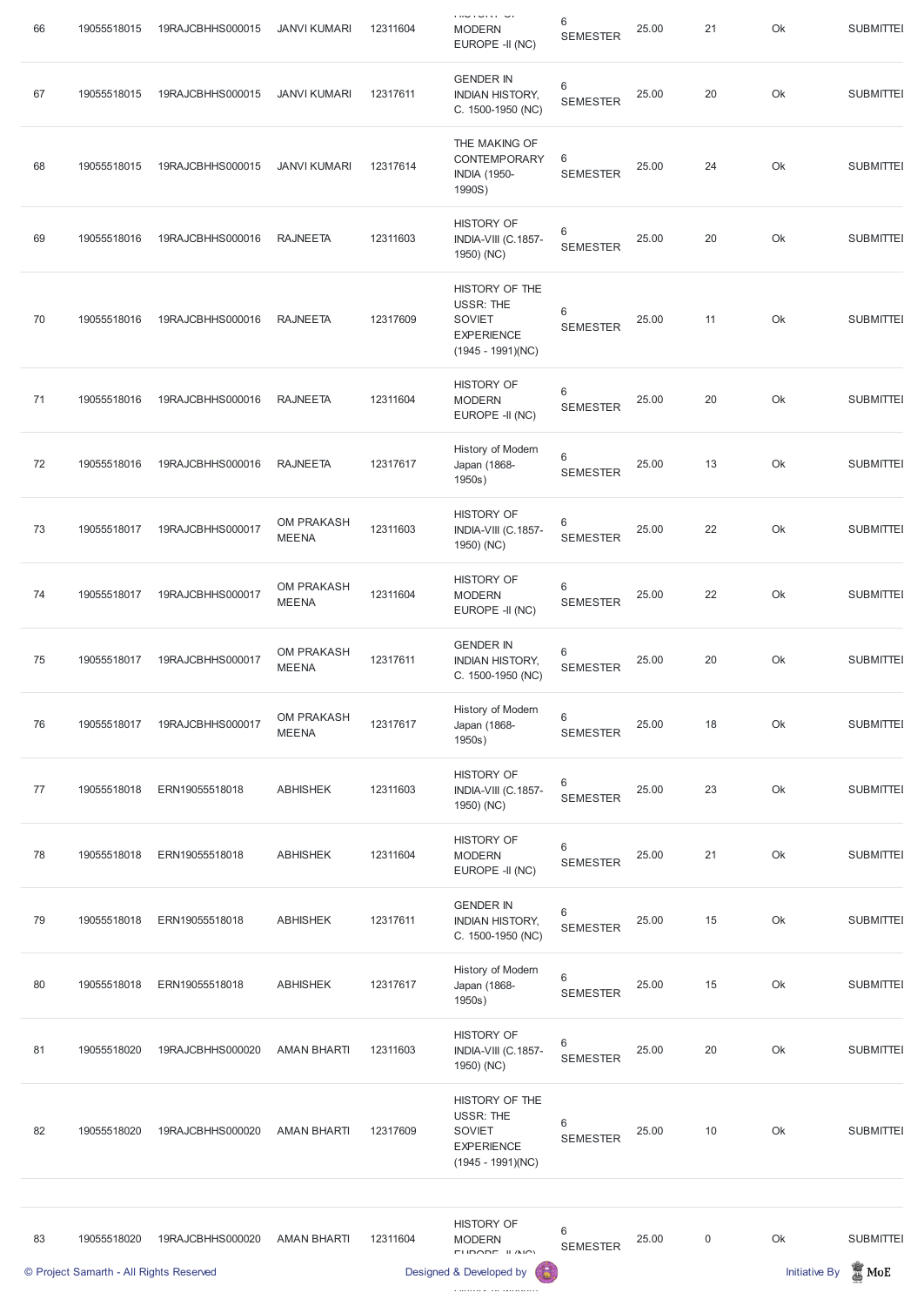| 66 | 19055518015                                            | 19RAJCBHHS000015 | <b>JANVI KUMARI</b>        | 12311604 | <b>CONTROLL</b><br><b>MODERN</b><br>EUROPE -II (NC)                                             | 6<br><b>SEMESTER</b>       | 25.00 | 21               | Ok                         | <b>SUBMITTEI</b>                    |
|----|--------------------------------------------------------|------------------|----------------------------|----------|-------------------------------------------------------------------------------------------------|----------------------------|-------|------------------|----------------------------|-------------------------------------|
| 67 | 19055518015                                            | 19RAJCBHHS000015 | <b>JANVI KUMARI</b>        | 12317611 | <b>GENDER IN</b><br><b>INDIAN HISTORY,</b><br>C. 1500-1950 (NC)                                 | 6<br><b>SEMESTER</b>       | 25.00 | 20               | Ok                         | <b>SUBMITTEI</b>                    |
| 68 | 19055518015                                            | 19RAJCBHHS000015 | <b>JANVI KUMARI</b>        | 12317614 | THE MAKING OF<br>CONTEMPORARY<br><b>INDIA (1950-</b><br>1990S)                                  | 6<br><b>SEMESTER</b>       | 25.00 | 24               | Ok                         | <b>SUBMITTEI</b>                    |
| 69 | 19055518016                                            | 19RAJCBHHS000016 | <b>RAJNEETA</b>            | 12311603 | <b>HISTORY OF</b><br>INDIA-VIII (C.1857-<br>1950) (NC)                                          | 6<br><b>SEMESTER</b>       | 25.00 | 20               | Ok                         | <b>SUBMITTEI</b>                    |
| 70 | 19055518016                                            | 19RAJCBHHS000016 | <b>RAJNEETA</b>            | 12317609 | HISTORY OF THE<br><b>USSR: THE</b><br><b>SOVIET</b><br><b>EXPERIENCE</b><br>$(1945 - 1991)(NC)$ | 6<br><b>SEMESTER</b>       | 25.00 | 11               | Ok                         | <b>SUBMITTEI</b>                    |
| 71 | 19055518016                                            | 19RAJCBHHS000016 | <b>RAJNEETA</b>            | 12311604 | <b>HISTORY OF</b><br><b>MODERN</b><br>EUROPE -II (NC)                                           | 6<br><b>SEMESTER</b>       | 25.00 | 20               | Ok                         | <b>SUBMITTEI</b>                    |
| 72 | 19055518016                                            | 19RAJCBHHS000016 | <b>RAJNEETA</b>            | 12317617 | History of Modern<br>Japan (1868-<br>1950s)                                                     | 6<br><b>SEMESTER</b>       | 25.00 | 13               | Ok                         | <b>SUBMITTEI</b>                    |
| 73 | 19055518017                                            | 19RAJCBHHS000017 | OM PRAKASH<br><b>MEENA</b> | 12311603 | <b>HISTORY OF</b><br>INDIA-VIII (C.1857-<br>1950) (NC)                                          | 6<br><b>SEMESTER</b>       | 25.00 | 22               | Ok                         | <b>SUBMITTEI</b>                    |
| 74 | 19055518017                                            | 19RAJCBHHS000017 | OM PRAKASH<br><b>MEENA</b> | 12311604 | <b>HISTORY OF</b><br><b>MODERN</b><br>EUROPE -II (NC)                                           | $\,6$<br><b>SEMESTER</b>   | 25.00 | 22               | Ok                         | <b>SUBMITTEI</b>                    |
| 75 | 19055518017                                            | 19RAJCBHHS000017 | OM PRAKASH<br><b>MEENA</b> | 12317611 | <b>GENDER IN</b><br><b>INDIAN HISTORY,</b><br>C. 1500-1950 (NC)                                 | 6<br><b>SEMESTER</b>       | 25.00 | 20               | Ok                         | <b>SUBMITTEI</b>                    |
| 76 | 19055518017                                            | 19RAJCBHHS000017 | OM PRAKASH<br><b>MEENA</b> | 12317617 | History of Modern<br>Japan (1868-<br>1950s)                                                     | 6<br><b>SEMESTER</b>       | 25.00 | 18               | Ok                         | <b>SUBMITTEI</b>                    |
| 77 | 19055518018                                            | ERN19055518018   | <b>ABHISHEK</b>            | 12311603 | <b>HISTORY OF</b><br>INDIA-VIII (C.1857-<br>1950) (NC)                                          | 6<br><b>SEMESTER</b>       | 25.00 | 23               | Ok                         | <b>SUBMITTEI</b>                    |
| 78 | 19055518018                                            | ERN19055518018   | <b>ABHISHEK</b>            | 12311604 | <b>HISTORY OF</b><br><b>MODERN</b><br>EUROPE -II (NC)                                           | 6<br><b>SEMESTER</b>       | 25.00 | 21               | Ok                         | <b>SUBMITTEI</b>                    |
| 79 | 19055518018                                            | ERN19055518018   | <b>ABHISHEK</b>            | 12317611 | <b>GENDER IN</b><br><b>INDIAN HISTORY,</b><br>C. 1500-1950 (NC)                                 | 6<br><b>SEMESTER</b>       | 25.00 | 15               | Ok                         | <b>SUBMITTEI</b>                    |
| 80 | 19055518018                                            | ERN19055518018   | <b>ABHISHEK</b>            | 12317617 | History of Modern<br>Japan (1868-<br>1950s)                                                     | $\,6\,$<br><b>SEMESTER</b> | 25.00 | 15               | Ok                         | <b>SUBMITTEI</b>                    |
| 81 | 19055518020                                            | 19RAJCBHHS000020 | <b>AMAN BHARTI</b>         | 12311603 | <b>HISTORY OF</b><br>INDIA-VIII (C.1857-<br>1950) (NC)                                          | $\,6$<br><b>SEMESTER</b>   | 25.00 | 20               | Ok                         | <b>SUBMITTEI</b>                    |
| 82 | 19055518020                                            | 19RAJCBHHS000020 | <b>AMAN BHARTI</b>         | 12317609 | HISTORY OF THE<br><b>USSR: THE</b><br><b>SOVIET</b><br><b>EXPERIENCE</b><br>$(1945 - 1991)(NC)$ | 6<br><b>SEMESTER</b>       | 25.00 | 10               | Ok                         | <b>SUBMITTEI</b>                    |
| 83 | 19055518020<br>© Project Samarth - All Rights Reserved | 19RAJCBHHS000020 | <b>AMAN BHARTI</b>         | 12311604 | <b>HISTORY OF</b><br><b>MODERN</b><br>ELIDADE IL (NO)<br>Designed & Developed by                | $\,6\,$<br><b>SEMESTER</b> | 25.00 | $\boldsymbol{0}$ | Ok<br><b>Initiative By</b> | <b>SUBMITTEI</b><br>$\mathbb Z$ MoE |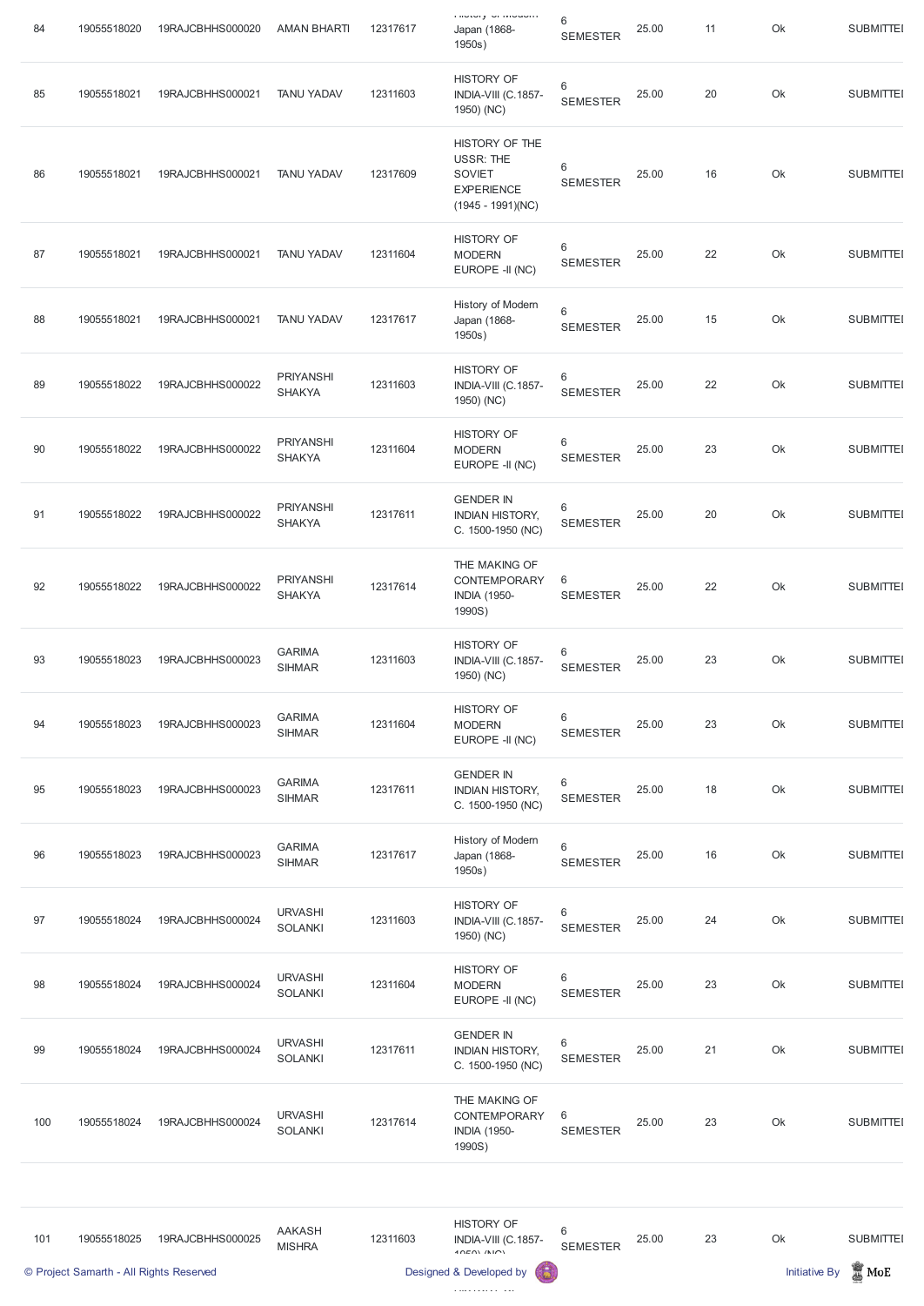| 84  | 19055518020                             | 19RAJCBHHS000020 | <b>AMAN BHARTI</b>                | 12317617 | <b>I HULUI J</b> UI IVIUWUITI<br>Japan (1868-<br>1950s)                                         | 6<br><b>SEMESTER</b>               | 25.00 | 11 | Ok                   | <b>SUBMITTEI</b> |
|-----|-----------------------------------------|------------------|-----------------------------------|----------|-------------------------------------------------------------------------------------------------|------------------------------------|-------|----|----------------------|------------------|
| 85  | 19055518021                             | 19RAJCBHHS000021 | <b>TANU YADAV</b>                 | 12311603 | <b>HISTORY OF</b><br>INDIA-VIII (C.1857-<br>1950) (NC)                                          | $\,6\,$<br><b>SEMESTER</b>         | 25.00 | 20 | Ok                   | <b>SUBMITTEI</b> |
| 86  | 19055518021                             | 19RAJCBHHS000021 | <b>TANU YADAV</b>                 | 12317609 | HISTORY OF THE<br><b>USSR: THE</b><br><b>SOVIET</b><br><b>EXPERIENCE</b><br>$(1945 - 1991)(NC)$ | 6<br><b>SEMESTER</b>               | 25.00 | 16 | Ok                   | <b>SUBMITTEI</b> |
| 87  | 19055518021                             | 19RAJCBHHS000021 | <b>TANU YADAV</b>                 | 12311604 | <b>HISTORY OF</b><br><b>MODERN</b><br>EUROPE -II (NC)                                           | 6<br><b>SEMESTER</b>               | 25.00 | 22 | Ok                   | <b>SUBMITTEI</b> |
| 88  | 19055518021                             | 19RAJCBHHS000021 | <b>TANU YADAV</b>                 | 12317617 | History of Modern<br>Japan (1868-<br>1950s)                                                     | 6<br><b>SEMESTER</b>               | 25.00 | 15 | Ok                   | <b>SUBMITTEI</b> |
| 89  | 19055518022                             | 19RAJCBHHS000022 | <b>PRIYANSHI</b><br><b>SHAKYA</b> | 12311603 | <b>HISTORY OF</b><br>INDIA-VIII (C.1857-<br>1950) (NC)                                          | 6<br><b>SEMESTER</b>               | 25.00 | 22 | Ok                   | <b>SUBMITTEI</b> |
| 90  | 19055518022                             | 19RAJCBHHS000022 | <b>PRIYANSHI</b><br><b>SHAKYA</b> | 12311604 | <b>HISTORY OF</b><br><b>MODERN</b><br>EUROPE -II (NC)                                           | 6<br><b>SEMESTER</b>               | 25.00 | 23 | Ok                   | <b>SUBMITTEI</b> |
| 91  | 19055518022                             | 19RAJCBHHS000022 | <b>PRIYANSHI</b><br><b>SHAKYA</b> | 12317611 | <b>GENDER IN</b><br><b>INDIAN HISTORY,</b><br>C. 1500-1950 (NC)                                 | $6\phantom{1}$<br><b>SEMESTER</b>  | 25.00 | 20 | Ok                   | <b>SUBMITTEI</b> |
| 92  | 19055518022                             | 19RAJCBHHS000022 | <b>PRIYANSHI</b><br><b>SHAKYA</b> | 12317614 | THE MAKING OF<br>CONTEMPORARY<br><b>INDIA (1950-</b><br>1990S)                                  | 6<br><b>SEMESTER</b>               | 25.00 | 22 | Ok                   | <b>SUBMITTEI</b> |
| 93  | 19055518023                             | 19RAJCBHHS000023 | <b>GARIMA</b><br><b>SIHMAR</b>    | 12311603 | <b>HISTORY OF</b><br>INDIA-VIII (C.1857-<br>1950) (NC)                                          | 6<br><b>SEMESTER</b>               | 25.00 | 23 | Ok                   | <b>SUBMITTEI</b> |
| 94  | 19055518023                             | 19RAJCBHHS000023 | <b>GARIMA</b><br><b>SIHMAR</b>    | 12311604 | <b>HISTORY OF</b><br><b>MODERN</b><br>EUROPE -II (NC)                                           | 6<br><b>SEMESTER</b>               | 25.00 | 23 | Ok                   | <b>SUBMITTEI</b> |
| 95  | 19055518023                             | 19RAJCBHHS000023 | <b>GARIMA</b><br><b>SIHMAR</b>    | 12317611 | <b>GENDER IN</b><br><b>INDIAN HISTORY,</b><br>C. 1500-1950 (NC)                                 | 6<br><b>SEMESTER</b>               | 25.00 | 18 | Ok                   | <b>SUBMITTEI</b> |
| 96  | 19055518023                             | 19RAJCBHHS000023 | <b>GARIMA</b><br><b>SIHMAR</b>    | 12317617 | History of Modern<br>Japan (1868-<br>1950s)                                                     | 6<br><b>SEMESTER</b>               | 25.00 | 16 | Ok                   | <b>SUBMITTEI</b> |
| 97  | 19055518024                             | 19RAJCBHHS000024 | <b>URVASHI</b><br><b>SOLANKI</b>  | 12311603 | <b>HISTORY OF</b><br>INDIA-VIII (C.1857-<br>1950) (NC)                                          | 6<br><b>SEMESTER</b>               | 25.00 | 24 | Ok                   | <b>SUBMITTEI</b> |
| 98  | 19055518024                             | 19RAJCBHHS000024 | <b>URVASHI</b><br><b>SOLANKI</b>  | 12311604 | <b>HISTORY OF</b><br><b>MODERN</b><br>EUROPE -II (NC)                                           | $\,6$<br><b>SEMESTER</b>           | 25.00 | 23 | Ok                   | <b>SUBMITTEI</b> |
| 99  | 19055518024                             | 19RAJCBHHS000024 | <b>URVASHI</b><br><b>SOLANKI</b>  | 12317611 | <b>GENDER IN</b><br><b>INDIAN HISTORY,</b><br>C. 1500-1950 (NC)                                 | $\,6\,$<br><b>SEMESTER</b>         | 25.00 | 21 | Ok                   | <b>SUBMITTEI</b> |
| 100 | 19055518024                             | 19RAJCBHHS000024 | <b>URVASHI</b><br><b>SOLANKI</b>  | 12317614 | THE MAKING OF<br>CONTEMPORARY<br><b>INDIA (1950-</b><br>1990S)                                  | 6<br><b>SEMESTER</b>               | 25.00 | 23 | Ok                   | <b>SUBMITTEI</b> |
|     |                                         |                  |                                   |          |                                                                                                 |                                    |       |    |                      |                  |
| 101 | 19055518025                             | 19RAJCBHHS000025 | <b>AAKASH</b><br><b>MISHRA</b>    | 12311603 | <b>HISTORY OF</b><br>INDIA-VIII (C.1857-<br>10E(N/N)                                            | $6\phantom{1}6$<br><b>SEMESTER</b> | 25.00 | 23 | Ok                   | <b>SUBMITTEI</b> |
|     | © Project Samarth - All Rights Reserved |                  |                                   |          | Designed & Developed by                                                                         |                                    |       |    | <b>Initiative By</b> | $\mathbb Z$ MoE  |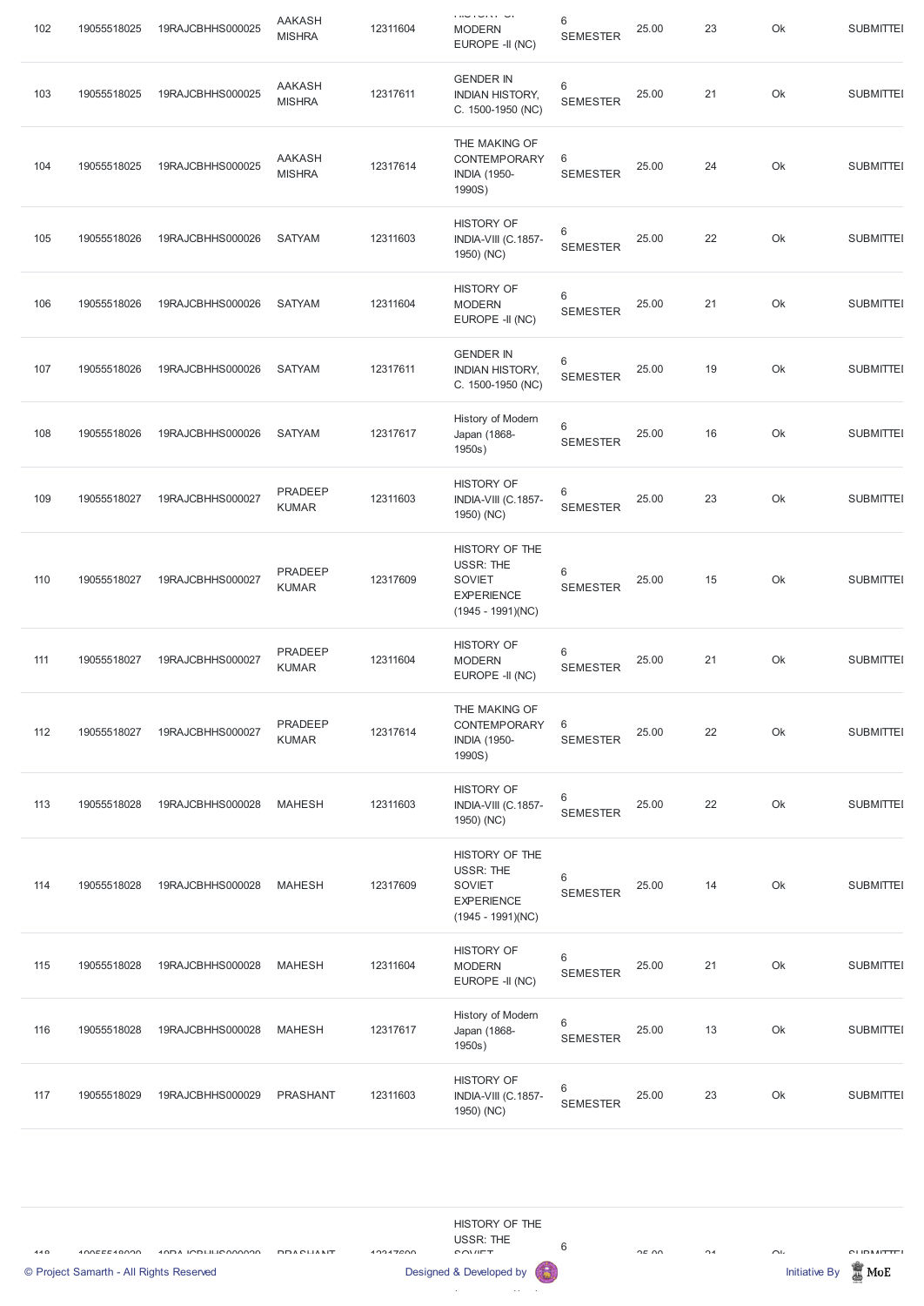| 102 | 19055518025 | 19RAJCBHHS000025 | <b>AAKASH</b><br><b>MISHRA</b> | 12311604 | <b>CONTROLL OF</b><br><b>MODERN</b><br>EUROPE -II (NC)                                          | 6<br><b>SEMESTER</b>       | 25.00 | 23 | Ok | <b>SUBMITTEI</b> |
|-----|-------------|------------------|--------------------------------|----------|-------------------------------------------------------------------------------------------------|----------------------------|-------|----|----|------------------|
| 103 | 19055518025 | 19RAJCBHHS000025 | <b>AAKASH</b><br><b>MISHRA</b> | 12317611 | <b>GENDER IN</b><br><b>INDIAN HISTORY,</b><br>C. 1500-1950 (NC)                                 | 6<br><b>SEMESTER</b>       | 25.00 | 21 | Ok | <b>SUBMITTEI</b> |
| 104 | 19055518025 | 19RAJCBHHS000025 | <b>AAKASH</b><br><b>MISHRA</b> | 12317614 | THE MAKING OF<br>CONTEMPORARY<br><b>INDIA (1950-</b><br>1990S)                                  | 6<br><b>SEMESTER</b>       | 25.00 | 24 | Ok | <b>SUBMITTEI</b> |
| 105 | 19055518026 | 19RAJCBHHS000026 | <b>SATYAM</b>                  | 12311603 | <b>HISTORY OF</b><br>INDIA-VIII (C.1857-<br>1950) (NC)                                          | 6<br><b>SEMESTER</b>       | 25.00 | 22 | Ok | <b>SUBMITTEI</b> |
| 106 | 19055518026 | 19RAJCBHHS000026 | <b>SATYAM</b>                  | 12311604 | <b>HISTORY OF</b><br><b>MODERN</b><br>EUROPE -II (NC)                                           | 6<br><b>SEMESTER</b>       | 25.00 | 21 | Ok | <b>SUBMITTEI</b> |
| 107 | 19055518026 | 19RAJCBHHS000026 | <b>SATYAM</b>                  | 12317611 | <b>GENDER IN</b><br><b>INDIAN HISTORY,</b><br>C. 1500-1950 (NC)                                 | 6<br><b>SEMESTER</b>       | 25.00 | 19 | Ok | <b>SUBMITTEI</b> |
| 108 | 19055518026 | 19RAJCBHHS000026 | <b>SATYAM</b>                  | 12317617 | History of Modern<br>Japan (1868-<br>1950s)                                                     | $\,6\,$<br><b>SEMESTER</b> | 25.00 | 16 | Ok | <b>SUBMITTEI</b> |
| 109 | 19055518027 | 19RAJCBHHS000027 | PRADEEP<br><b>KUMAR</b>        | 12311603 | <b>HISTORY OF</b><br>INDIA-VIII (C.1857-<br>1950) (NC)                                          | 6<br><b>SEMESTER</b>       | 25.00 | 23 | Ok | <b>SUBMITTEI</b> |
| 110 | 19055518027 | 19RAJCBHHS000027 | PRADEEP<br><b>KUMAR</b>        | 12317609 | HISTORY OF THE<br><b>USSR: THE</b><br><b>SOVIET</b><br><b>EXPERIENCE</b><br>$(1945 - 1991)(NC)$ | 6<br><b>SEMESTER</b>       | 25.00 | 15 | Ok | <b>SUBMITTEI</b> |
| 111 | 19055518027 | 19RAJCBHHS000027 | PRADEEP<br><b>KUMAR</b>        | 12311604 | <b>HISTORY OF</b><br><b>MODERN</b><br>EUROPE -II (NC)                                           | 6<br><b>SEMESTER</b>       | 25.00 | 21 | Ok | <b>SUBMITTEI</b> |
| 112 | 19055518027 | 19RAJCBHHS000027 | PRADEEP<br><b>KUMAR</b>        | 12317614 | THE MAKING OF<br>CONTEMPORARY<br><b>INDIA (1950-</b><br>1990S)                                  | 6<br><b>SEMESTER</b>       | 25.00 | 22 | Ok | <b>SUBMITTEI</b> |
| 113 | 19055518028 | 19RAJCBHHS000028 | <b>MAHESH</b>                  | 12311603 | <b>HISTORY OF</b><br>INDIA-VIII (C.1857-<br>1950) (NC)                                          | 6<br><b>SEMESTER</b>       | 25.00 | 22 | Ok | <b>SUBMITTEI</b> |
| 114 | 19055518028 | 19RAJCBHHS000028 | <b>MAHESH</b>                  | 12317609 | HISTORY OF THE<br><b>USSR: THE</b><br><b>SOVIET</b><br><b>EXPERIENCE</b><br>$(1945 - 1991)(NC)$ | 6<br><b>SEMESTER</b>       | 25.00 | 14 | Ok | <b>SUBMITTEI</b> |
| 115 | 19055518028 | 19RAJCBHHS000028 | <b>MAHESH</b>                  | 12311604 | <b>HISTORY OF</b><br><b>MODERN</b><br>EUROPE -II (NC)                                           | 6<br><b>SEMESTER</b>       | 25.00 | 21 | Ok | <b>SUBMITTEI</b> |

| 116 | 19055518028 | 19RAJCBHHS000028 | MAHESH   | 12317617 | History of Modern<br>Japan (1868-<br>1950s)            | <b>SEMESTER</b>      | 25.00 | 13 | Ok | <b>SUBMITTEI</b> |
|-----|-------------|------------------|----------|----------|--------------------------------------------------------|----------------------|-------|----|----|------------------|
| 117 | 19055518029 | 19RAJCBHHS000029 | PRASHANT | 12311603 | <b>HISTORY OF</b><br>INDIA-VIII (C.1857-<br>1950) (NC) | 6<br><b>SEMESTER</b> | 25.00 | 23 | Ok | <b>SUBMITTEI</b> |

÷

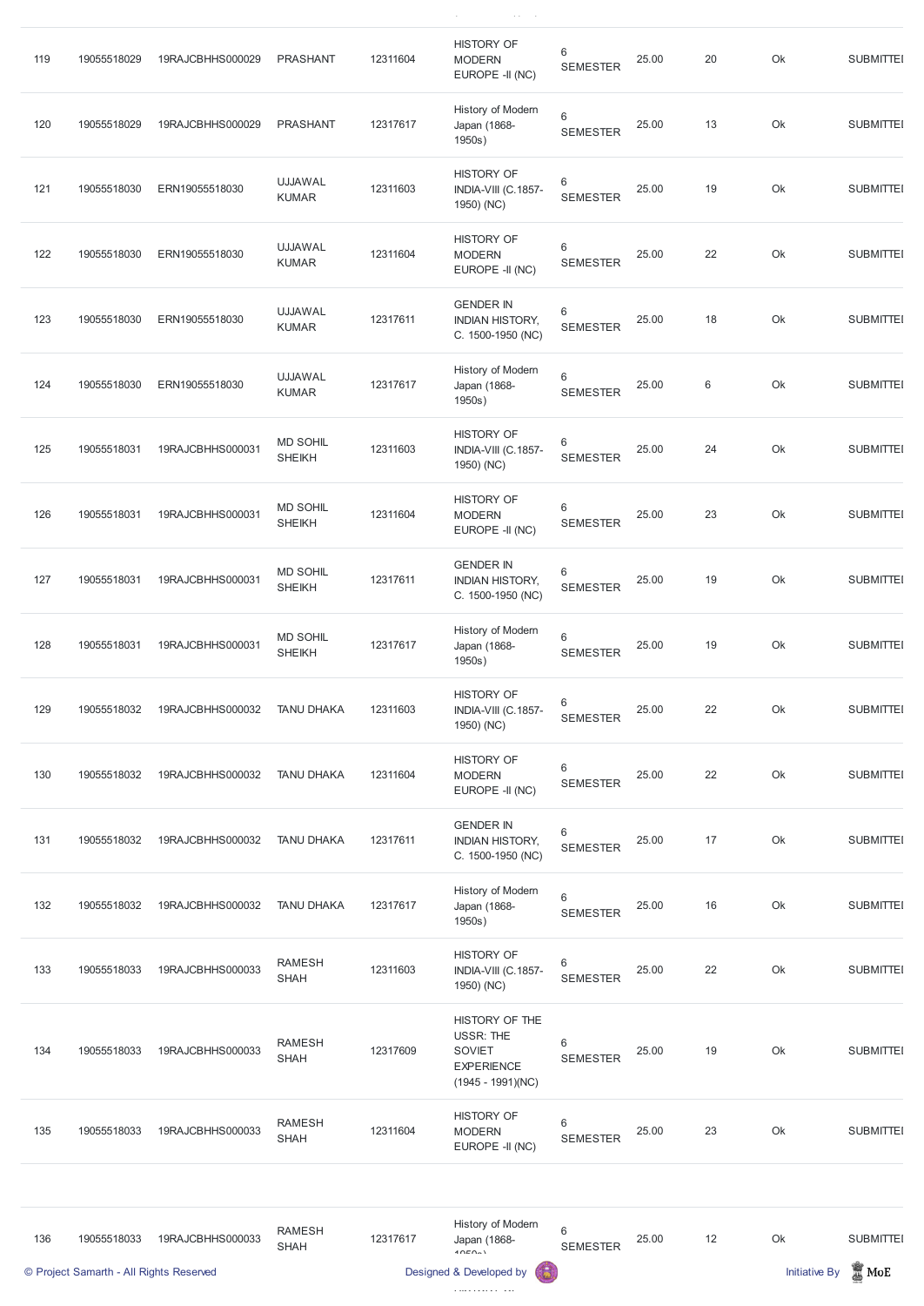| 119 | 19055518029 | 19RAJCBHHS000029 | <b>PRASHANT</b>                  | 12311604 | <b>HISTORY OF</b><br><b>MODERN</b><br>EUROPE -II (NC)           | 6<br><b>SEMESTER</b>       | 25.00 | 20 | Ok | <b>SUBMITTEI</b> |
|-----|-------------|------------------|----------------------------------|----------|-----------------------------------------------------------------|----------------------------|-------|----|----|------------------|
| 120 | 19055518029 | 19RAJCBHHS000029 | <b>PRASHANT</b>                  | 12317617 | History of Modern<br>Japan (1868-<br>1950s)                     | $\,6\,$<br><b>SEMESTER</b> | 25.00 | 13 | Ok | <b>SUBMITTEI</b> |
| 121 | 19055518030 | ERN19055518030   | <b>UJJAWAL</b><br><b>KUMAR</b>   | 12311603 | <b>HISTORY OF</b><br>INDIA-VIII (C.1857-<br>1950) (NC)          | 6<br><b>SEMESTER</b>       | 25.00 | 19 | Ok | <b>SUBMITTEI</b> |
| 122 | 19055518030 | ERN19055518030   | <b>UJJAWAL</b><br><b>KUMAR</b>   | 12311604 | <b>HISTORY OF</b><br><b>MODERN</b><br>EUROPE -II (NC)           | 6<br><b>SEMESTER</b>       | 25.00 | 22 | Ok | <b>SUBMITTEI</b> |
| 123 | 19055518030 | ERN19055518030   | <b>UJJAWAL</b><br><b>KUMAR</b>   | 12317611 | <b>GENDER IN</b><br><b>INDIAN HISTORY,</b><br>C. 1500-1950 (NC) | 6<br><b>SEMESTER</b>       | 25.00 | 18 | Ok | <b>SUBMITTEI</b> |
| 124 | 19055518030 | ERN19055518030   | <b>UJJAWAL</b><br><b>KUMAR</b>   | 12317617 | History of Modern<br>Japan (1868-<br>1950s)                     | $\,6$<br><b>SEMESTER</b>   | 25.00 | 6  | Ok | <b>SUBMITTEI</b> |
| 125 | 19055518031 | 19RAJCBHHS000031 | <b>MD SOHIL</b><br><b>SHEIKH</b> | 12311603 | <b>HISTORY OF</b><br>INDIA-VIII (C.1857-<br>1950) (NC)          | 6<br><b>SEMESTER</b>       | 25.00 | 24 | Ok | <b>SUBMITTEI</b> |
| 126 | 19055518031 | 19RAJCBHHS000031 | <b>MD SOHIL</b><br><b>SHEIKH</b> | 12311604 | <b>HISTORY OF</b><br><b>MODERN</b><br>EUROPE -II (NC)           | 6<br><b>SEMESTER</b>       | 25.00 | 23 | Ok | <b>SUBMITTEI</b> |
| 127 | 19055518031 | 19RAJCBHHS000031 | <b>MD SOHIL</b><br><b>SHEIKH</b> | 12317611 | <b>GENDER IN</b><br><b>INDIAN HISTORY,</b><br>C. 1500-1950 (NC) | 6<br><b>SEMESTER</b>       | 25.00 | 19 | Ok | <b>SUBMITTEI</b> |
| 128 | 19055518031 | 19RAJCBHHS000031 | <b>MD SOHIL</b><br><b>SHEIKH</b> | 12317617 | History of Modern<br>Japan (1868-<br>1950s)                     | $\,6$<br><b>SEMESTER</b>   | 25.00 | 19 | Ok | <b>SUBMITTEI</b> |
| 129 | 19055518032 | 19RAJCBHHS000032 | <b>TANU DHAKA</b>                | 12311603 | <b>HISTORY OF</b><br>INDIA-VIII (C.1857-<br>1950) (NC)          | 6<br><b>SEMESTER</b>       | 25.00 | 22 | Ok | <b>SUBMITTEI</b> |
| 130 | 19055518032 | 19RAJCBHHS000032 | <b>TANU DHAKA</b>                | 12311604 | <b>HISTORY OF</b><br><b>MODERN</b><br>EUROPE -II (NC)           | $\,6$<br><b>SEMESTER</b>   | 25.00 | 22 | Ok | <b>SUBMITTEI</b> |
| 131 | 19055518032 | 19RAJCBHHS000032 | <b>TANU DHAKA</b>                | 12317611 | <b>GENDER IN</b><br><b>INDIAN HISTORY,</b><br>C. 1500-1950 (NC) | 6<br><b>SEMESTER</b>       | 25.00 | 17 | Ok | <b>SUBMITTEI</b> |
| 132 | 19055518032 | 19RAJCBHHS000032 | <b>TANU DHAKA</b>                | 12317617 | History of Modern<br>Japan (1868-<br>1950s)                     | $\,6$<br><b>SEMESTER</b>   | 25.00 | 16 | Ok | <b>SUBMITTEI</b> |
| 133 | 19055518033 | 19RAJCBHHS000033 | <b>RAMESH</b><br><b>SHAH</b>     | 12311603 | <b>HISTORY OF</b><br>INDIA-VIII (C.1857-<br>1950) (N C)         | 6<br><b>SEMESTER</b>       | 25.00 | 22 | Ok | <b>SUBMITTEI</b> |

 $\left\langle \left( \mathbf{v}^{\left( 1\right) }\right) \right\rangle =\left\langle \left( \mathbf{v}^{\left( 1\right) }\right) \right\rangle =\left\langle \mathbf{v}^{\left( 1\right) }\right\rangle$ 

1950) (NC)

| 134 | 19055518033                             | 19RAJCBHHS000033 | <b>RAMESH</b><br><b>SHAH</b> | 12317609 | HISTORY OF THE<br><b>USSR: THE</b><br><b>SOVIET</b><br><b>EXPERIENCE</b><br>$(1945 - 1991)(NC)$ | $6\,$<br><b>SEMESTER</b> | 25.00 | 19 | Ok                   | <b>SUBMITTEI</b>   |
|-----|-----------------------------------------|------------------|------------------------------|----------|-------------------------------------------------------------------------------------------------|--------------------------|-------|----|----------------------|--------------------|
| 135 | 19055518033                             | 19RAJCBHHS000033 | <b>RAMESH</b><br><b>SHAH</b> | 12311604 | <b>HISTORY OF</b><br><b>MODERN</b><br>EUROPE -II (NC)                                           | 6<br><b>SEMESTER</b>     | 25.00 | 23 | Ok                   | <b>SUBMITTEI</b>   |
|     |                                         |                  |                              |          |                                                                                                 |                          |       |    |                      |                    |
| 136 | 19055518033                             | 19RAJCBHHS000033 | <b>RAMESH</b><br><b>SHAH</b> | 12317617 | History of Modern<br>Japan (1868-<br>40E0a                                                      | 6<br><b>SEMESTER</b>     | 25.00 | 12 | Ok                   | <b>SUBMITTEI</b>   |
|     | © Project Samarth - All Rights Reserved |                  |                              |          | 63<br>Designed & Developed by                                                                   |                          |       |    | <b>Initiative By</b> | $\blacksquare$ MoE |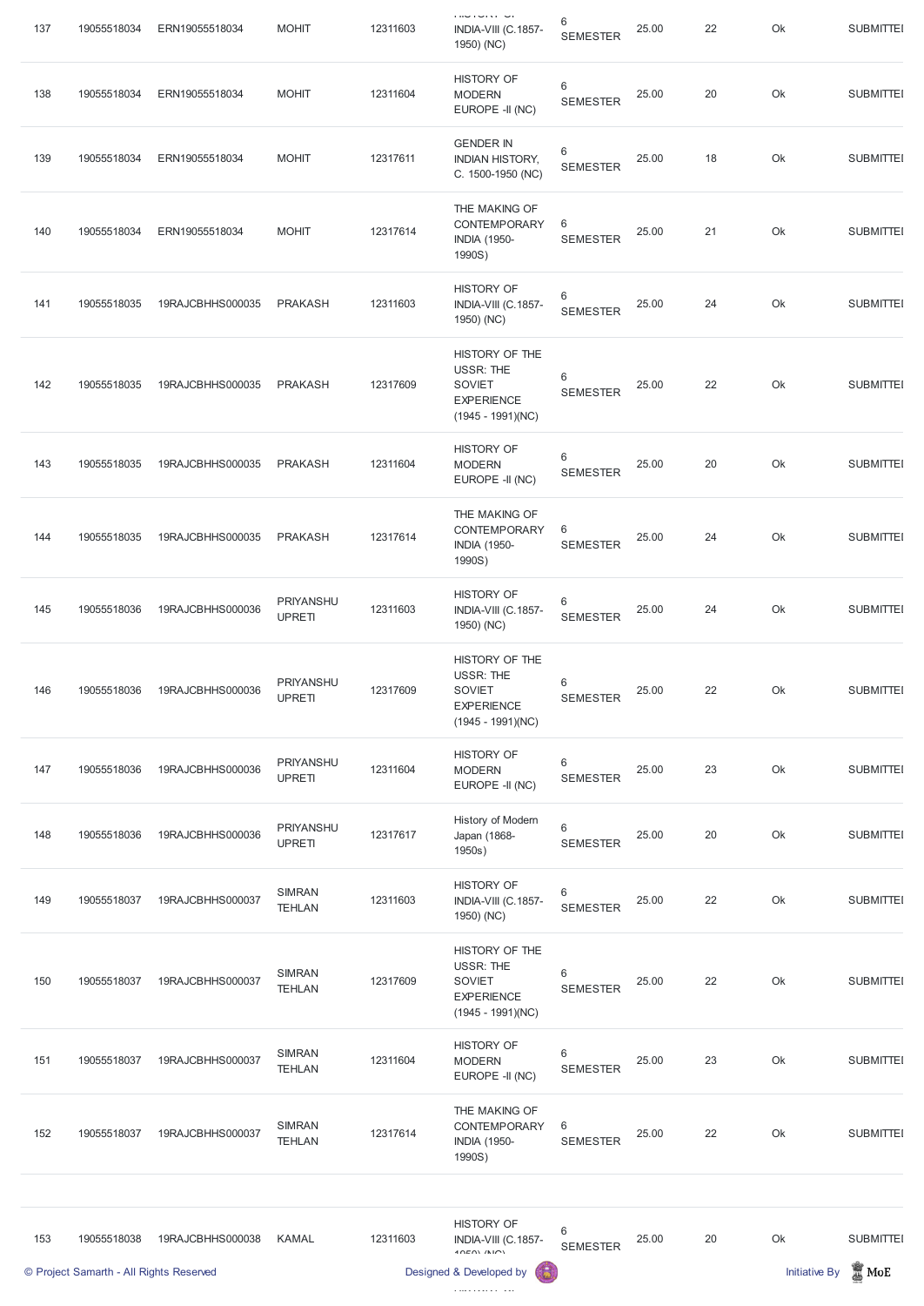| 137 | 19055518034                             | ERN19055518034   | <b>MOHIT</b>                      | 12311603 | <b>CONTROLL OF</b><br>INDIA-VIII (C.1857-<br>1950) (NC)                                         | $\,6\,$<br><b>SEMESTER</b> | 25.00 | 22 | Ok                   | <b>SUBMITTEI</b> |
|-----|-----------------------------------------|------------------|-----------------------------------|----------|-------------------------------------------------------------------------------------------------|----------------------------|-------|----|----------------------|------------------|
| 138 | 19055518034                             | ERN19055518034   | <b>MOHIT</b>                      | 12311604 | <b>HISTORY OF</b><br><b>MODERN</b><br>EUROPE -II (NC)                                           | $\,6\,$<br><b>SEMESTER</b> | 25.00 | 20 | Ok                   | <b>SUBMITTEI</b> |
| 139 | 19055518034                             | ERN19055518034   | <b>MOHIT</b>                      | 12317611 | <b>GENDER IN</b><br><b>INDIAN HISTORY,</b><br>C. 1500-1950 (NC)                                 | $\,6\,$<br><b>SEMESTER</b> | 25.00 | 18 | Ok                   | <b>SUBMITTEI</b> |
| 140 | 19055518034                             | ERN19055518034   | <b>MOHIT</b>                      | 12317614 | THE MAKING OF<br><b>CONTEMPORARY</b><br><b>INDIA (1950-</b><br>1990S)                           | $\,6$<br><b>SEMESTER</b>   | 25.00 | 21 | Ok                   | <b>SUBMITTEI</b> |
| 141 | 19055518035                             | 19RAJCBHHS000035 | <b>PRAKASH</b>                    | 12311603 | <b>HISTORY OF</b><br>INDIA-VIII (C.1857-<br>1950) (NC)                                          | $\,6\,$<br><b>SEMESTER</b> | 25.00 | 24 | Ok                   | <b>SUBMITTEI</b> |
| 142 | 19055518035                             | 19RAJCBHHS000035 | <b>PRAKASH</b>                    | 12317609 | HISTORY OF THE<br><b>USSR: THE</b><br><b>SOVIET</b><br><b>EXPERIENCE</b><br>$(1945 - 1991)(NC)$ | 6<br><b>SEMESTER</b>       | 25.00 | 22 | Ok                   | <b>SUBMITTEI</b> |
| 143 | 19055518035                             | 19RAJCBHHS000035 | <b>PRAKASH</b>                    | 12311604 | <b>HISTORY OF</b><br><b>MODERN</b><br>EUROPE -II (NC)                                           | 6<br><b>SEMESTER</b>       | 25.00 | 20 | Ok                   | <b>SUBMITTEI</b> |
| 144 | 19055518035                             | 19RAJCBHHS000035 | <b>PRAKASH</b>                    | 12317614 | THE MAKING OF<br>CONTEMPORARY<br><b>INDIA (1950-</b><br>1990S)                                  | $6\,$<br><b>SEMESTER</b>   | 25.00 | 24 | Ok                   | <b>SUBMITTEI</b> |
| 145 | 19055518036                             | 19RAJCBHHS000036 | PRIYANSHU<br><b>UPRETI</b>        | 12311603 | <b>HISTORY OF</b><br>INDIA-VIII (C.1857-<br>1950) (NC)                                          | $\,6\,$<br><b>SEMESTER</b> | 25.00 | 24 | Ok                   | <b>SUBMITTEI</b> |
| 146 | 19055518036                             | 19RAJCBHHS000036 | PRIYANSHU<br><b>UPRETI</b>        | 12317609 | HISTORY OF THE<br><b>USSR: THE</b><br><b>SOVIET</b><br><b>EXPERIENCE</b><br>$(1945 - 1991)(NC)$ | $\,6\,$<br><b>SEMESTER</b> | 25.00 | 22 | Ok                   | <b>SUBMITTEI</b> |
| 147 | 19055518036                             | 19RAJCBHHS000036 | PRIYANSHU<br><b>UPRETI</b>        | 12311604 | <b>HISTORY OF</b><br><b>MODERN</b><br>EUROPE -II (NC)                                           | $6\,$<br><b>SEMESTER</b>   | 25.00 | 23 | Ok                   | <b>SUBMITTEI</b> |
| 148 | 19055518036                             | 19RAJCBHHS000036 | <b>PRIYANSHU</b><br><b>UPRETI</b> | 12317617 | History of Modern<br>Japan (1868-<br>1950s)                                                     | $\,6\,$<br><b>SEMESTER</b> | 25.00 | 20 | Ok                   | <b>SUBMITTEI</b> |
| 149 | 19055518037                             | 19RAJCBHHS000037 | <b>SIMRAN</b><br><b>TEHLAN</b>    | 12311603 | <b>HISTORY OF</b><br>INDIA-VIII (C.1857-<br>1950) (NC)                                          | 6<br><b>SEMESTER</b>       | 25.00 | 22 | Ok                   | <b>SUBMITTEI</b> |
| 150 | 19055518037                             | 19RAJCBHHS000037 | <b>SIMRAN</b><br><b>TEHLAN</b>    | 12317609 | HISTORY OF THE<br><b>USSR: THE</b><br><b>SOVIET</b><br><b>EXPERIENCE</b><br>$(1945 - 1991)(NC)$ | $\,6\,$<br><b>SEMESTER</b> | 25.00 | 22 | Ok                   | <b>SUBMITTEI</b> |
| 151 | 19055518037                             | 19RAJCBHHS000037 | <b>SIMRAN</b><br><b>TEHLAN</b>    | 12311604 | <b>HISTORY OF</b><br><b>MODERN</b><br>EUROPE -II (NC)                                           | 6<br><b>SEMESTER</b>       | 25.00 | 23 | Ok                   | <b>SUBMITTEI</b> |
| 152 | 19055518037                             | 19RAJCBHHS000037 | <b>SIMRAN</b><br><b>TEHLAN</b>    | 12317614 | THE MAKING OF<br>CONTEMPORARY<br><b>INDIA (1950-</b><br>1990S)                                  | 6<br><b>SEMESTER</b>       | 25.00 | 22 | Ok                   | <b>SUBMITTEI</b> |
|     |                                         |                  |                                   |          |                                                                                                 |                            |       |    |                      |                  |
| 153 | 19055518038                             | 19RAJCBHHS000038 | <b>KAMAL</b>                      | 12311603 | <b>HISTORY OF</b><br>INDIA-VIII (C.1857-<br>10E(N/N)                                            | 6<br><b>SEMESTER</b>       | 25.00 | 20 | Ok                   | <b>SUBMITTEI</b> |
|     | © Project Samarth - All Rights Reserved |                  |                                   |          | Designed & Developed by<br>G                                                                    |                            |       |    | <b>Initiative By</b> | $\mathbb Z$ MoE  |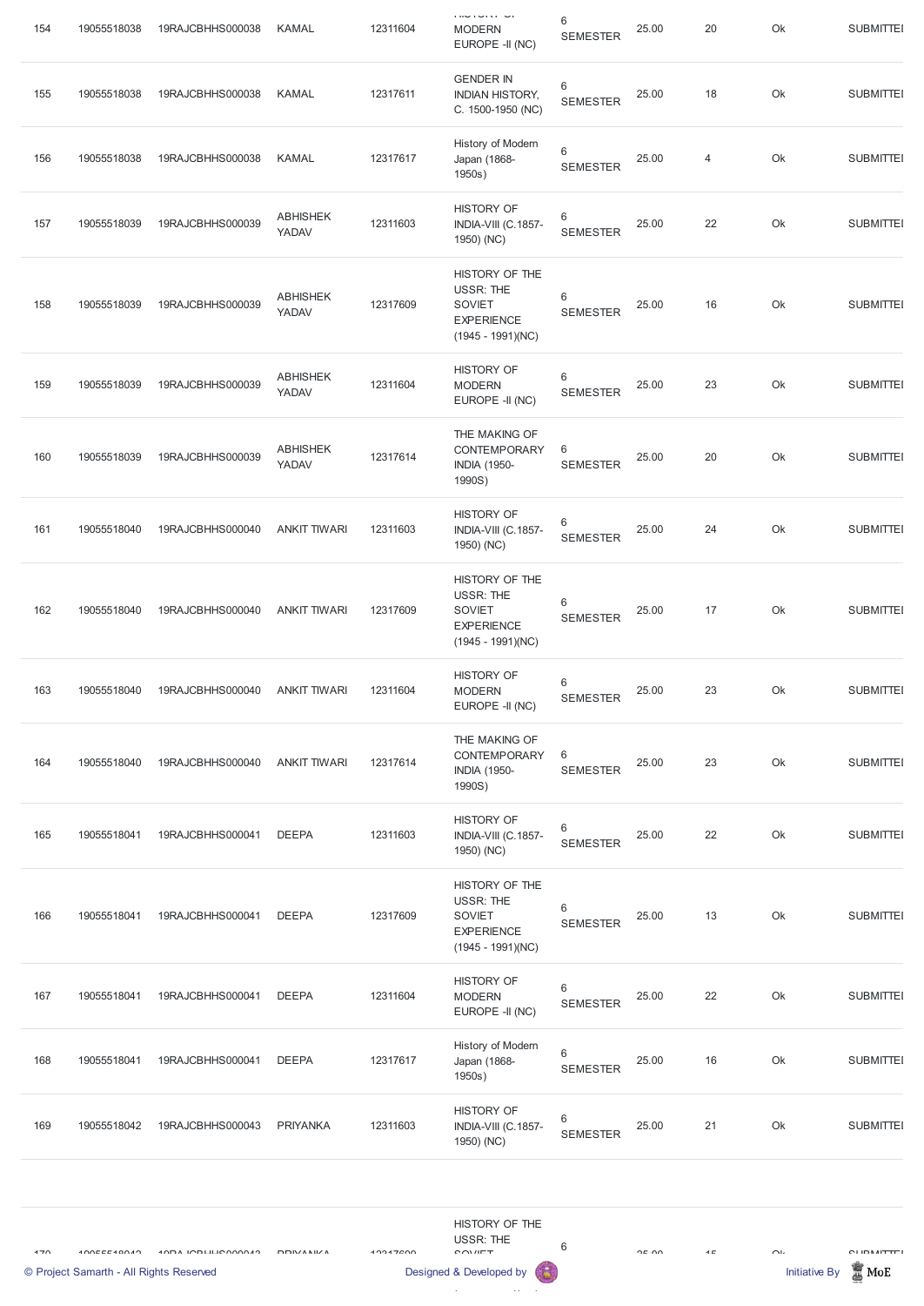| 154 | 19055518038                                            | 19RAJCBHHS000038          | <b>KAMAL</b>             | 12311604 | <b>THUTURY OF</b><br><b>MODERN</b><br>EUROPE -II (NC)                                           | $6\phantom{1}6$<br><b>SEMESTER</b> | 25.00   | $20\,$         | Ok                             | <b>SUBMITTEI</b>                     |
|-----|--------------------------------------------------------|---------------------------|--------------------------|----------|-------------------------------------------------------------------------------------------------|------------------------------------|---------|----------------|--------------------------------|--------------------------------------|
| 155 | 19055518038                                            | 19RAJCBHHS000038          | <b>KAMAL</b>             | 12317611 | <b>GENDER IN</b><br><b>INDIAN HISTORY,</b><br>C. 1500-1950 (NC)                                 | $\,6\,$<br><b>SEMESTER</b>         | 25.00   | 18             | Ok                             | <b>SUBMITTEI</b>                     |
| 156 | 19055518038                                            | 19RAJCBHHS000038          | <b>KAMAL</b>             | 12317617 | History of Modern<br>Japan (1868-<br>1950s)                                                     | $6\phantom{1}6$<br><b>SEMESTER</b> | 25.00   | $\overline{4}$ | Ok                             | <b>SUBMITTEI</b>                     |
| 157 | 19055518039                                            | 19RAJCBHHS000039          | <b>ABHISHEK</b><br>YADAV | 12311603 | <b>HISTORY OF</b><br>INDIA-VIII (C.1857-<br>1950) (NC)                                          | $\,6\,$<br><b>SEMESTER</b>         | 25.00   | 22             | Ok                             | <b>SUBMITTEI</b>                     |
| 158 | 19055518039                                            | 19RAJCBHHS000039          | <b>ABHISHEK</b><br>YADAV | 12317609 | HISTORY OF THE<br><b>USSR: THE</b><br><b>SOVIET</b><br><b>EXPERIENCE</b><br>$(1945 - 1991)(NC)$ | $6\phantom{1}6$<br><b>SEMESTER</b> | 25.00   | 16             | Ok                             | <b>SUBMITTEI</b>                     |
| 159 | 19055518039                                            | 19RAJCBHHS000039          | <b>ABHISHEK</b><br>YADAV | 12311604 | <b>HISTORY OF</b><br><b>MODERN</b><br>EUROPE -II (NC)                                           | 6<br><b>SEMESTER</b>               | 25.00   | 23             | Ok                             | <b>SUBMITTEI</b>                     |
| 160 | 19055518039                                            | 19RAJCBHHS000039          | <b>ABHISHEK</b><br>YADAV | 12317614 | THE MAKING OF<br><b>CONTEMPORARY</b><br><b>INDIA (1950-</b><br>1990S)                           | $\,6$<br><b>SEMESTER</b>           | 25.00   | 20             | Ok                             | <b>SUBMITTEI</b>                     |
| 161 | 19055518040                                            | 19RAJCBHHS000040          | <b>ANKIT TIWARI</b>      | 12311603 | <b>HISTORY OF</b><br>INDIA-VIII (C.1857-<br>1950) (NC)                                          | $6\phantom{1}6$<br><b>SEMESTER</b> | 25.00   | 24             | Ok                             | <b>SUBMITTEI</b>                     |
| 162 | 19055518040                                            | 19RAJCBHHS000040          | <b>ANKIT TIWARI</b>      | 12317609 | HISTORY OF THE<br><b>USSR: THE</b><br><b>SOVIET</b><br><b>EXPERIENCE</b><br>$(1945 - 1991)(NC)$ | $6\phantom{1}6$<br><b>SEMESTER</b> | 25.00   | 17             | Ok                             | <b>SUBMITTEI</b>                     |
| 163 | 19055518040                                            | 19RAJCBHHS000040          | <b>ANKIT TIWARI</b>      | 12311604 | <b>HISTORY OF</b><br><b>MODERN</b><br>EUROPE -II (NC)                                           | 6<br><b>SEMESTER</b>               | 25.00   | 23             | Ok                             | <b>SUBMITTEI</b>                     |
| 164 | 19055518040                                            | 19RAJCBHHS000040          | <b>ANKIT TIWARI</b>      | 12317614 | THE MAKING OF<br>CONTEMPORARY<br><b>INDIA (1950-</b><br>1990S)                                  | 6<br><b>SEMESTER</b>               | 25.00   | 23             | Ok                             | <b>SUBMITTEI</b>                     |
| 165 | 19055518041                                            | 19RAJCBHHS000041          | <b>DEEPA</b>             | 12311603 | <b>HISTORY OF</b><br>INDIA-VIII (C.1857-<br>1950) (NC)                                          | $6\phantom{1}6$<br><b>SEMESTER</b> | 25.00   | 22             | Ok                             | <b>SUBMITTEI</b>                     |
| 166 | 19055518041                                            | 19RAJCBHHS000041          | <b>DEEPA</b>             | 12317609 | HISTORY OF THE<br><b>USSR: THE</b><br><b>SOVIET</b><br><b>EXPERIENCE</b><br>$(1945 - 1991)(NC)$ | 6<br><b>SEMESTER</b>               | 25.00   | 13             | Ok                             | <b>SUBMITTEI</b>                     |
| 167 | 19055518041                                            | 19RAJCBHHS000041          | <b>DEEPA</b>             | 12311604 | <b>HISTORY OF</b><br><b>MODERN</b><br>EUROPE -II (NC)                                           | $6\,$<br><b>SEMESTER</b>           | 25.00   | 22             | Ok                             | <b>SUBMITTEI</b>                     |
| 168 | 19055518041                                            | 19RAJCBHHS000041          | <b>DEEPA</b>             | 12317617 | History of Modern<br>Japan (1868-<br>1950s)                                                     | 6<br><b>SEMESTER</b>               | 25.00   | 16             | Ok                             | <b>SUBMITTEI</b>                     |
| 169 | 19055518042                                            | 19RAJCBHHS000043          | <b>PRIYANKA</b>          | 12311603 | <b>HISTORY OF</b><br>INDIA-VIII (C.1857-<br>1950) (NC)                                          | 6<br><b>SEMESTER</b>               | 25.00   | 21             | Ok                             | <b>SUBMITTEI</b>                     |
| 170 | 100EEL40011<br>© Project Samarth - All Rights Reserved | <b>SUDA IODLILICAMANA</b> | <b>DDIVANILA</b>         | 10017000 | HISTORY OF THE<br><b>USSR: THE</b><br><b>COVIET</b><br>Designed & Developed by                  | 6                                  | $\n  n$ | 4E             | $\sim$<br><b>Initiative By</b> | <b>CLIDMITTEI</b><br>$\mathbb Z$ MoE |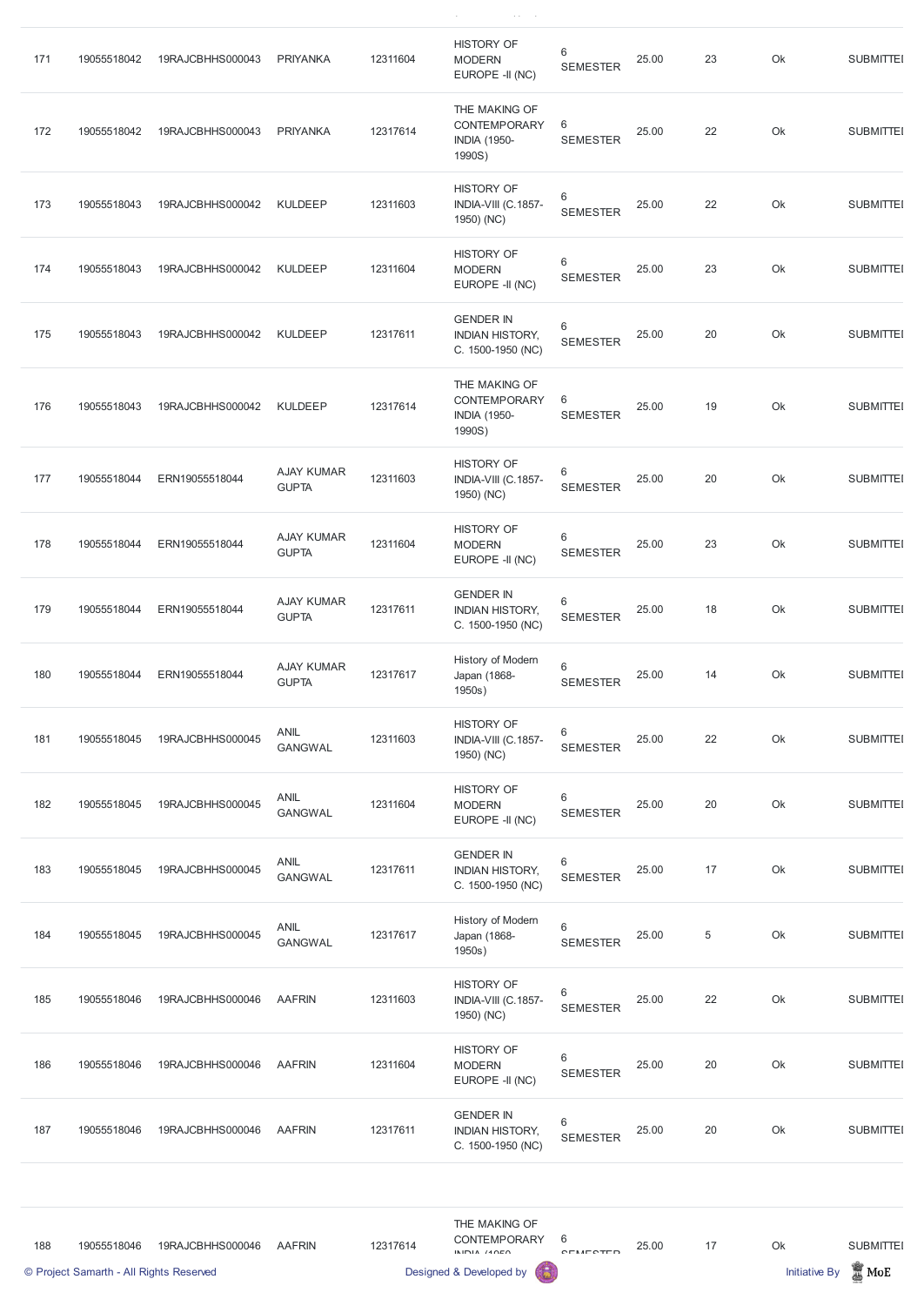| 171 | 19055518042 | 19RAJCBHHS000043 | <b>PRIYANKA</b>                   | 12311604 | <b>HISTORY OF</b><br><b>MODERN</b><br>EUROPE -II (NC)                 | 6<br><b>SEMESTER</b>       | 25.00 | 23          | Ok | <b>SUBMITTEI</b> |
|-----|-------------|------------------|-----------------------------------|----------|-----------------------------------------------------------------------|----------------------------|-------|-------------|----|------------------|
| 172 | 19055518042 | 19RAJCBHHS000043 | <b>PRIYANKA</b>                   | 12317614 | THE MAKING OF<br><b>CONTEMPORARY</b><br><b>INDIA (1950-</b><br>1990S) | 6<br><b>SEMESTER</b>       | 25.00 | 22          | Ok | <b>SUBMITTEI</b> |
| 173 | 19055518043 | 19RAJCBHHS000042 | <b>KULDEEP</b>                    | 12311603 | <b>HISTORY OF</b><br>INDIA-VIII (C.1857-<br>1950) (NC)                | 6<br><b>SEMESTER</b>       | 25.00 | 22          | Ok | <b>SUBMITTEI</b> |
| 174 | 19055518043 | 19RAJCBHHS000042 | <b>KULDEEP</b>                    | 12311604 | <b>HISTORY OF</b><br><b>MODERN</b><br>EUROPE -II (NC)                 | $\,6$<br><b>SEMESTER</b>   | 25.00 | 23          | Ok | <b>SUBMITTEI</b> |
| 175 | 19055518043 | 19RAJCBHHS000042 | <b>KULDEEP</b>                    | 12317611 | <b>GENDER IN</b><br><b>INDIAN HISTORY,</b><br>C. 1500-1950 (NC)       | 6<br><b>SEMESTER</b>       | 25.00 | 20          | Ok | <b>SUBMITTEI</b> |
| 176 | 19055518043 | 19RAJCBHHS000042 | <b>KULDEEP</b>                    | 12317614 | THE MAKING OF<br><b>CONTEMPORARY</b><br><b>INDIA (1950-</b><br>1990S) | 6<br><b>SEMESTER</b>       | 25.00 | 19          | Ok | <b>SUBMITTEI</b> |
| 177 | 19055518044 | ERN19055518044   | <b>AJAY KUMAR</b><br><b>GUPTA</b> | 12311603 | <b>HISTORY OF</b><br>INDIA-VIII (C.1857-<br>1950) (NC)                | 6<br><b>SEMESTER</b>       | 25.00 | 20          | Ok | <b>SUBMITTEI</b> |
| 178 | 19055518044 | ERN19055518044   | <b>AJAY KUMAR</b><br><b>GUPTA</b> | 12311604 | <b>HISTORY OF</b><br><b>MODERN</b><br>EUROPE -II (NC)                 | 6<br><b>SEMESTER</b>       | 25.00 | 23          | Ok | <b>SUBMITTEI</b> |
| 179 | 19055518044 | ERN19055518044   | <b>AJAY KUMAR</b><br><b>GUPTA</b> | 12317611 | <b>GENDER IN</b><br><b>INDIAN HISTORY,</b><br>C. 1500-1950 (NC)       | 6<br><b>SEMESTER</b>       | 25.00 | 18          | Ok | <b>SUBMITTEI</b> |
| 180 | 19055518044 | ERN19055518044   | <b>AJAY KUMAR</b><br><b>GUPTA</b> | 12317617 | History of Modern<br>Japan (1868-<br>1950s)                           | $\,6\,$<br><b>SEMESTER</b> | 25.00 | 14          | Ok | <b>SUBMITTEI</b> |
| 181 | 19055518045 | 19RAJCBHHS000045 | <b>ANIL</b><br><b>GANGWAL</b>     | 12311603 | <b>HISTORY OF</b><br>INDIA-VIII (C.1857-<br>1950) (NC)                | 6<br><b>SEMESTER</b>       | 25.00 | 22          | Ok | <b>SUBMITTEI</b> |
| 182 | 19055518045 | 19RAJCBHHS000045 | <b>ANIL</b><br><b>GANGWAL</b>     | 12311604 | <b>HISTORY OF</b><br><b>MODERN</b><br>EUROPE -II (NC)                 | $\,6$<br><b>SEMESTER</b>   | 25.00 | 20          | Ok | <b>SUBMITTEI</b> |
| 183 | 19055518045 | 19RAJCBHHS000045 | <b>ANIL</b><br><b>GANGWAL</b>     | 12317611 | <b>GENDER IN</b><br><b>INDIAN HISTORY,</b><br>C. 1500-1950 (NC)       | $\,6$<br><b>SEMESTER</b>   | 25.00 | 17          | Ok | <b>SUBMITTEI</b> |
| 184 | 19055518045 | 19RAJCBHHS000045 | <b>ANIL</b><br><b>GANGWAL</b>     | 12317617 | History of Modern<br>Japan (1868-<br>1950s)                           | $6\,$<br><b>SEMESTER</b>   | 25.00 | $\,$ 5 $\,$ | Ok | <b>SUBMITTEI</b> |

 $\label{eq:1} \frac{1}{\sqrt{2}}\sum_{i=1}^n\frac{1}{\sqrt{2}}\left(\frac{1}{\sqrt{2}}\sum_{i=1}^n\frac{1}{\sqrt{2}}\sum_{i=1}^n\frac{1}{\sqrt{2}}\sum_{i=1}^n\frac{1}{\sqrt{2}}\sum_{i=1}^n\frac{1}{\sqrt{2}}\sum_{i=1}^n\frac{1}{\sqrt{2}}\sum_{i=1}^n\frac{1}{\sqrt{2}}\sum_{i=1}^n\frac{1}{\sqrt{2}}\sum_{i=1}^n\frac{1}{\sqrt{2}}\sum_{i=1}^n\frac{1}{\sqrt{2}}\$ 

|     | © Project Samarth - All Rights Reserved |                  |               |          | 6<br>Designed & Developed by                                    |                                   |       |    | <b>Initiative By</b> | $\frac{1}{20}$ MoE |
|-----|-----------------------------------------|------------------|---------------|----------|-----------------------------------------------------------------|-----------------------------------|-------|----|----------------------|--------------------|
| 188 | 19055518046                             | 19RAJCBHHS000046 | <b>AAFRIN</b> | 12317614 | THE MAKING OF<br><b>CONTEMPORARY</b><br>INIDIA $140E0$          | 6<br>CEMECTED                     | 25.00 | 17 | Ok                   | <b>SUBMITTEI</b>   |
| 187 | 19055518046                             | 19RAJCBHHS000046 | <b>AAFRIN</b> | 12317611 | <b>GENDER IN</b><br><b>INDIAN HISTORY,</b><br>C. 1500-1950 (NC) | $\,6\,$<br><b>SEMESTER</b>        | 25.00 | 20 | Ok                   | <b>SUBMITTEI</b>   |
| 186 | 19055518046                             | 19RAJCBHHS000046 | <b>AAFRIN</b> | 12311604 | <b>HISTORY OF</b><br><b>MODERN</b><br>EUROPE -II (NC)           | $\,6\,$<br><b>SEMESTER</b>        | 25.00 | 20 | Ok                   | <b>SUBMITTEI</b>   |
| 185 | 19055518046                             | 19RAJCBHHS000046 | <b>AAFRIN</b> | 12311603 | HISTORY OF<br>INDIA-VIII (C.1857-<br>1950) (NC)                 | $6\phantom{1}$<br><b>SEMESTER</b> | 25.00 | 22 | Ok                   | <b>SUBMITTEI</b>   |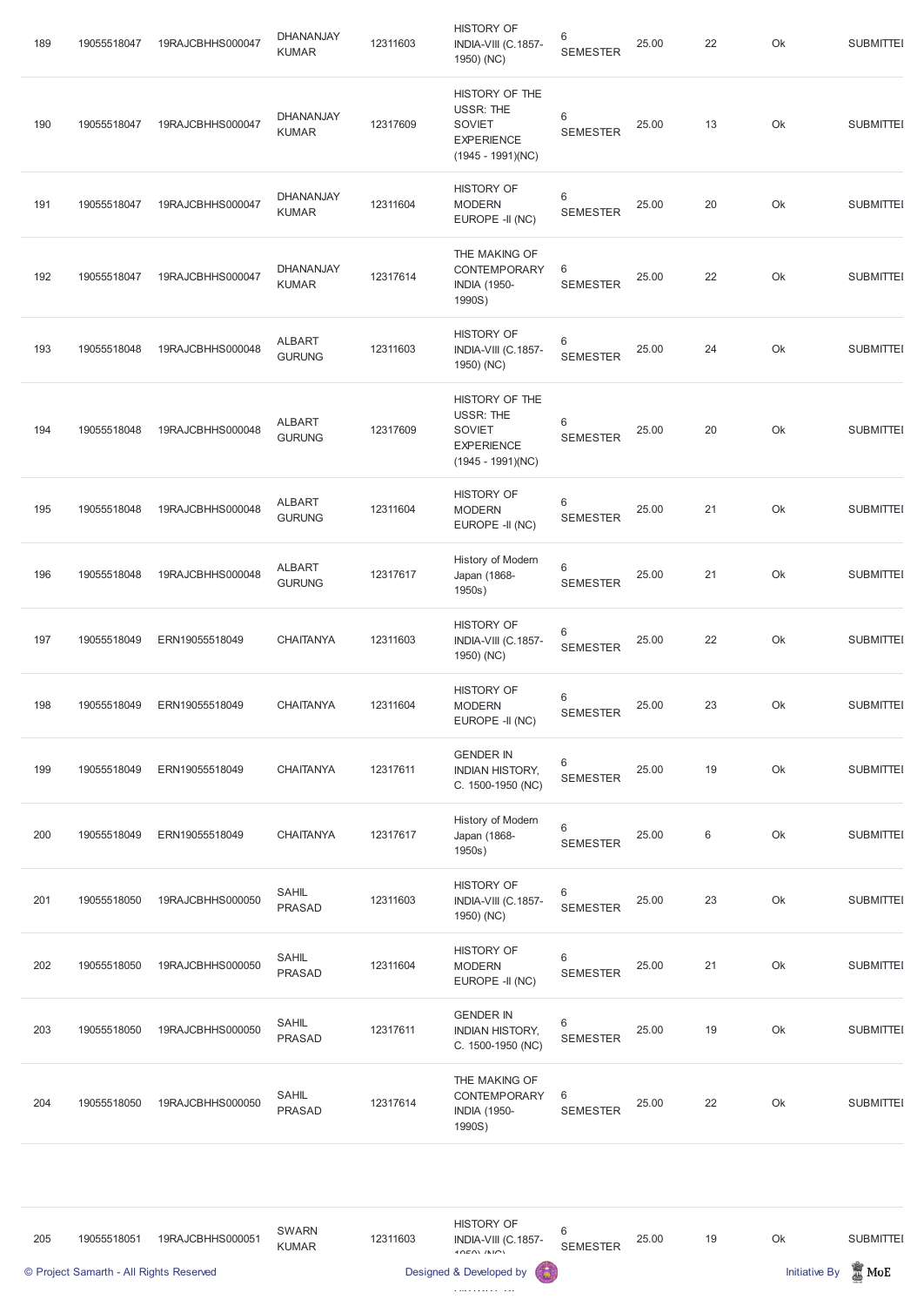| 189 | 19055518047 | 19RAJCBHHS000047 | <b>DHANANJAY</b><br><b>KUMAR</b> | 12311603 | <b>HISTORY OF</b><br>INDIA-VIII (C.1857-<br>1950) (NC)                                          | 6<br><b>SEMESTER</b>       | 25.00 | 22 | Ok | <b>SUBMITTEI</b> |
|-----|-------------|------------------|----------------------------------|----------|-------------------------------------------------------------------------------------------------|----------------------------|-------|----|----|------------------|
| 190 | 19055518047 | 19RAJCBHHS000047 | <b>DHANANJAY</b><br><b>KUMAR</b> | 12317609 | HISTORY OF THE<br><b>USSR: THE</b><br><b>SOVIET</b><br><b>EXPERIENCE</b><br>$(1945 - 1991)(NC)$ | 6<br><b>SEMESTER</b>       | 25.00 | 13 | Ok | <b>SUBMITTEI</b> |
| 191 | 19055518047 | 19RAJCBHHS000047 | <b>DHANANJAY</b><br><b>KUMAR</b> | 12311604 | <b>HISTORY OF</b><br><b>MODERN</b><br>EUROPE -II (NC)                                           | 6<br><b>SEMESTER</b>       | 25.00 | 20 | Ok | <b>SUBMITTEI</b> |
| 192 | 19055518047 | 19RAJCBHHS000047 | DHANANJAY<br><b>KUMAR</b>        | 12317614 | THE MAKING OF<br><b>CONTEMPORARY</b><br><b>INDIA (1950-</b><br>1990S)                           | 6<br><b>SEMESTER</b>       | 25.00 | 22 | Ok | <b>SUBMITTEI</b> |
| 193 | 19055518048 | 19RAJCBHHS000048 | <b>ALBART</b><br><b>GURUNG</b>   | 12311603 | <b>HISTORY OF</b><br>INDIA-VIII (C.1857-<br>1950) (NC)                                          | 6<br><b>SEMESTER</b>       | 25.00 | 24 | Ok | <b>SUBMITTEI</b> |
| 194 | 19055518048 | 19RAJCBHHS000048 | <b>ALBART</b><br><b>GURUNG</b>   | 12317609 | HISTORY OF THE<br><b>USSR: THE</b><br><b>SOVIET</b><br><b>EXPERIENCE</b><br>$(1945 - 1991)(NC)$ | 6<br><b>SEMESTER</b>       | 25.00 | 20 | Ok | <b>SUBMITTEI</b> |
| 195 | 19055518048 | 19RAJCBHHS000048 | <b>ALBART</b><br><b>GURUNG</b>   | 12311604 | <b>HISTORY OF</b><br><b>MODERN</b><br>EUROPE -II (NC)                                           | 6<br><b>SEMESTER</b>       | 25.00 | 21 | Ok | <b>SUBMITTEI</b> |
| 196 | 19055518048 | 19RAJCBHHS000048 | <b>ALBART</b><br><b>GURUNG</b>   | 12317617 | History of Modern<br>Japan (1868-<br>1950s)                                                     | $\,6\,$<br><b>SEMESTER</b> | 25.00 | 21 | Ok | <b>SUBMITTEI</b> |
| 197 | 19055518049 | ERN19055518049   | <b>CHAITANYA</b>                 | 12311603 | <b>HISTORY OF</b><br>INDIA-VIII (C.1857-<br>1950) (NC)                                          | $\,6\,$<br><b>SEMESTER</b> | 25.00 | 22 | Ok | <b>SUBMITTEI</b> |
| 198 | 19055518049 | ERN19055518049   | <b>CHAITANYA</b>                 | 12311604 | <b>HISTORY OF</b><br><b>MODERN</b><br>EUROPE -II (NC)                                           | $\,6\,$<br><b>SEMESTER</b> | 25.00 | 23 | Ok | <b>SUBMITTEI</b> |
| 199 | 19055518049 | ERN19055518049   | <b>CHAITANYA</b>                 | 12317611 | <b>GENDER IN</b><br><b>INDIAN HISTORY,</b><br>C. 1500-1950 (NC)                                 | 6<br><b>SEMESTER</b>       | 25.00 | 19 | Ok | <b>SUBMITTEI</b> |
| 200 | 19055518049 | ERN19055518049   | <b>CHAITANYA</b>                 | 12317617 | History of Modern<br>Japan (1868-<br>1950s)                                                     | $\,6\,$<br><b>SEMESTER</b> | 25.00 | 6  | Ok | <b>SUBMITTEI</b> |
| 201 | 19055518050 | 19RAJCBHHS000050 | <b>SAHIL</b><br><b>PRASAD</b>    | 12311603 | <b>HISTORY OF</b><br>INDIA-VIII (C.1857-<br>1950) (NC)                                          | $\,6\,$<br><b>SEMESTER</b> | 25.00 | 23 | Ok | <b>SUBMITTEI</b> |
| 202 | 19055518050 | 19RAJCBHHS000050 | <b>SAHIL</b><br>PRASAD           | 12311604 | <b>HISTORY OF</b><br><b>MODERN</b><br>EUROPE -II (NC)                                           | 6<br><b>SEMESTER</b>       | 25.00 | 21 | Ok | <b>SUBMITTEI</b> |

| 203 | 19055518050 | 19RAJCBHHS000050 | <b>SAHIL</b><br><b>PRASAD</b> | 12317611 | <b>GENDER IN</b><br><b>INDIAN HISTORY,</b><br>C. 1500-1950 (NC)       | 6<br><b>SEMESTER</b> | 25.00 | 19 | Ok | <b>SUBMITTEI</b> |
|-----|-------------|------------------|-------------------------------|----------|-----------------------------------------------------------------------|----------------------|-------|----|----|------------------|
| 204 | 19055518050 | 19RAJCBHHS000050 | <b>SAHIL</b><br><b>PRASAD</b> | 12317614 | THE MAKING OF<br><b>CONTEMPORARY</b><br><b>INDIA (1950-</b><br>1990S) | 6<br><b>SEMESTER</b> | 25.00 | 22 | Ok | <b>SUBMITTEI</b> |

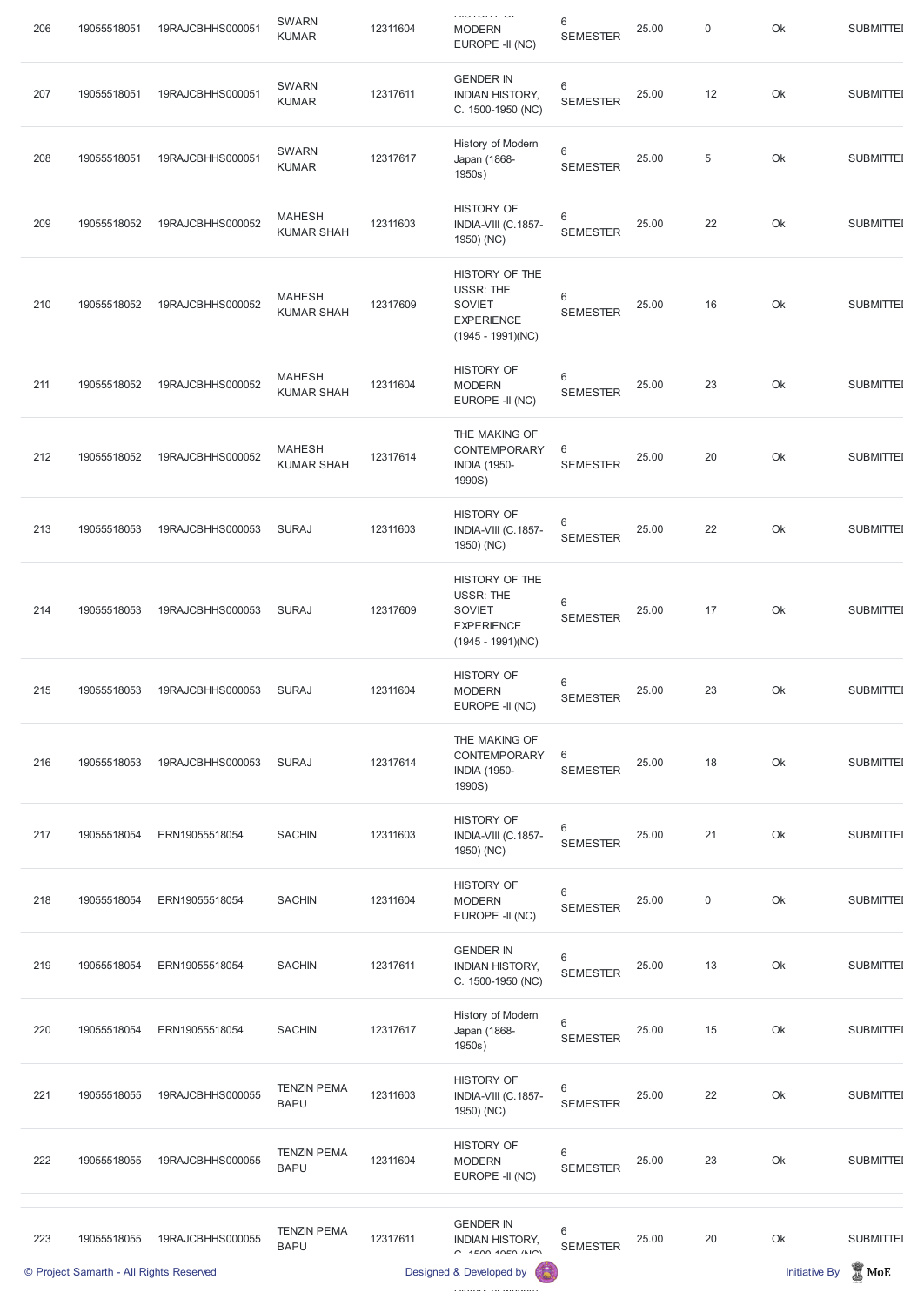| 206 | 19055518051 | 19RAJCBHHS000051 | <b>SWARN</b><br><b>KUMAR</b>       | 12311604 | <b>LINE LOTAL</b><br><b>MODERN</b><br>EUROPE -II (NC)                                           | 6<br><b>SEMESTER</b>       | 25.00 | 0          | Ok | <b>SUBMITTEI</b> |
|-----|-------------|------------------|------------------------------------|----------|-------------------------------------------------------------------------------------------------|----------------------------|-------|------------|----|------------------|
| 207 | 19055518051 | 19RAJCBHHS000051 | <b>SWARN</b><br><b>KUMAR</b>       | 12317611 | <b>GENDER IN</b><br><b>INDIAN HISTORY,</b><br>C. 1500-1950 (NC)                                 | 6<br><b>SEMESTER</b>       | 25.00 | 12         | Ok | <b>SUBMITTEI</b> |
| 208 | 19055518051 | 19RAJCBHHS000051 | <b>SWARN</b><br><b>KUMAR</b>       | 12317617 | History of Modern<br>Japan (1868-<br>1950s)                                                     | $\,6\,$<br><b>SEMESTER</b> | 25.00 | $\sqrt{5}$ | Ok | <b>SUBMITTEI</b> |
| 209 | 19055518052 | 19RAJCBHHS000052 | <b>MAHESH</b><br><b>KUMAR SHAH</b> | 12311603 | <b>HISTORY OF</b><br>INDIA-VIII (C.1857-<br>1950) (NC)                                          | 6<br><b>SEMESTER</b>       | 25.00 | 22         | Ok | <b>SUBMITTEI</b> |
| 210 | 19055518052 | 19RAJCBHHS000052 | <b>MAHESH</b><br><b>KUMAR SHAH</b> | 12317609 | HISTORY OF THE<br>USSR: THE<br><b>SOVIET</b><br><b>EXPERIENCE</b><br>$(1945 - 1991)(NC)$        | 6<br><b>SEMESTER</b>       | 25.00 | 16         | Ok | <b>SUBMITTEI</b> |
| 211 | 19055518052 | 19RAJCBHHS000052 | <b>MAHESH</b><br><b>KUMAR SHAH</b> | 12311604 | <b>HISTORY OF</b><br><b>MODERN</b><br>EUROPE -II (NC)                                           | $\,6$<br><b>SEMESTER</b>   | 25.00 | 23         | Ok | <b>SUBMITTEI</b> |
| 212 | 19055518052 | 19RAJCBHHS000052 | <b>MAHESH</b><br><b>KUMAR SHAH</b> | 12317614 | THE MAKING OF<br><b>CONTEMPORARY</b><br><b>INDIA (1950-</b><br>1990S)                           | 6<br><b>SEMESTER</b>       | 25.00 | 20         | Ok | <b>SUBMITTEI</b> |
| 213 | 19055518053 | 19RAJCBHHS000053 | <b>SURAJ</b>                       | 12311603 | <b>HISTORY OF</b><br>INDIA-VIII (C.1857-<br>1950) (NC)                                          | 6<br><b>SEMESTER</b>       | 25.00 | 22         | Ok | <b>SUBMITTEI</b> |
| 214 | 19055518053 | 19RAJCBHHS000053 | <b>SURAJ</b>                       | 12317609 | HISTORY OF THE<br><b>USSR: THE</b><br><b>SOVIET</b><br><b>EXPERIENCE</b><br>$(1945 - 1991)(NC)$ | $\,6$<br><b>SEMESTER</b>   | 25.00 | 17         | Ok | <b>SUBMITTEI</b> |
| 215 | 19055518053 | 19RAJCBHHS000053 | <b>SURAJ</b>                       | 12311604 | <b>HISTORY OF</b><br><b>MODERN</b><br>EUROPE -II (NC)                                           | $\,6$<br><b>SEMESTER</b>   | 25.00 | 23         | Ok | <b>SUBMITTEI</b> |
| 216 | 19055518053 | 19RAJCBHHS000053 | <b>SURAJ</b>                       | 12317614 | THE MAKING OF<br>CONTEMPORARY<br><b>INDIA (1950-</b><br>1990S)                                  | 6<br><b>SEMESTER</b>       | 25.00 | 18         | Ok | <b>SUBMITTEI</b> |
| 217 | 19055518054 | ERN19055518054   | <b>SACHIN</b>                      | 12311603 | <b>HISTORY OF</b><br>INDIA-VIII (C.1857-<br>1950) (NC)                                          | $\,6$<br><b>SEMESTER</b>   | 25.00 | 21         | Ok | <b>SUBMITTEI</b> |
| 218 | 19055518054 | ERN19055518054   | <b>SACHIN</b>                      | 12311604 | <b>HISTORY OF</b><br><b>MODERN</b><br>EUROPE -II (NC)                                           | $\,6$<br><b>SEMESTER</b>   | 25.00 | 0          | Ok | <b>SUBMITTEI</b> |
| 219 | 19055518054 | ERN19055518054   | <b>SACHIN</b>                      | 12317611 | <b>GENDER IN</b><br><b>INDIAN HISTORY,</b><br>C. 1500-1950 (NC)                                 | 6<br><b>SEMESTER</b>       | 25.00 | 13         | Ok | <b>SUBMITTEI</b> |

| 220 | 19055518054                             | ERN19055518054   | <b>SACHIN</b>                     | 12317617 | History of Modern<br>Japan (1868-<br>1950s)                             | $6\phantom{1}$<br><b>SEMESTER</b> | 25.00 | 15 | Ok                   | <b>SUBMITTEI</b> |
|-----|-----------------------------------------|------------------|-----------------------------------|----------|-------------------------------------------------------------------------|-----------------------------------|-------|----|----------------------|------------------|
| 221 | 19055518055                             | 19RAJCBHHS000055 | <b>TENZIN PEMA</b><br><b>BAPU</b> | 12311603 | <b>HISTORY OF</b><br>INDIA-VIII (C.1857-<br>1950) (NC)                  | 6<br><b>SEMESTER</b>              | 25.00 | 22 | Ok                   | <b>SUBMITTEI</b> |
| 222 | 19055518055                             | 19RAJCBHHS000055 | <b>TENZIN PEMA</b><br><b>BAPU</b> | 12311604 | <b>HISTORY OF</b><br><b>MODERN</b><br>EUROPE -II (NC)                   | 6<br><b>SEMESTER</b>              | 25.00 | 23 | Ok                   | <b>SUBMITTEI</b> |
|     |                                         |                  |                                   |          |                                                                         |                                   |       |    |                      |                  |
| 223 | 19055518055                             | 19RAJCBHHS000055 | <b>TENZIN PEMA</b><br><b>BAPU</b> | 12317611 | <b>GENDER IN</b><br><b>INDIAN HISTORY,</b><br>$C$ $4E$ 00 $40E$ 0 $(N)$ | 6<br><b>SEMESTER</b>              | 25.00 | 20 | Ok                   | <b>SUBMITTEI</b> |
|     | © Project Samarth - All Rights Reserved |                  |                                   |          | 63<br>Designed & Developed by                                           |                                   |       |    | <b>Initiative By</b> | <b>MOE</b>       |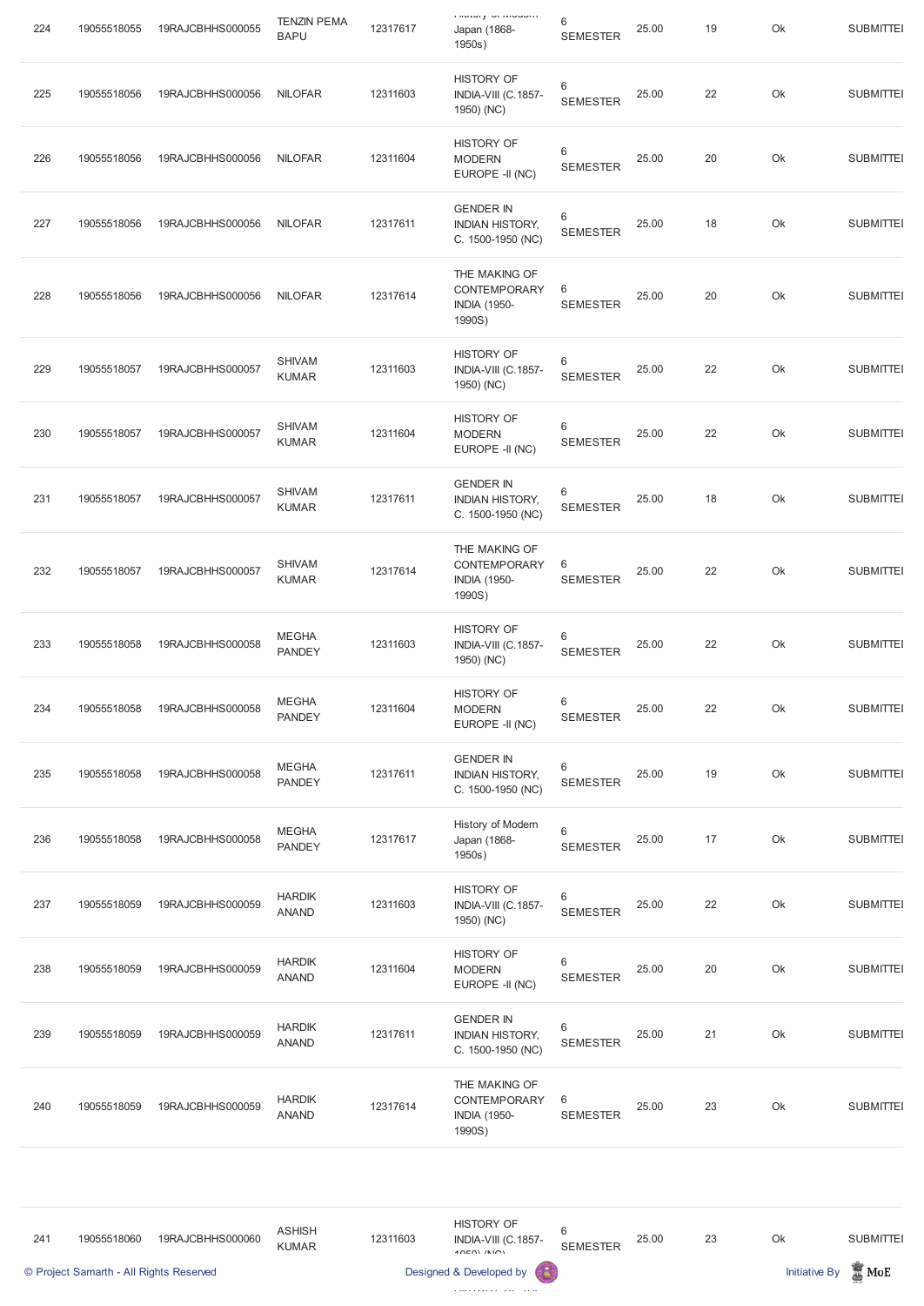| 224 | 19055518055 | 19RAJCBHHS000055 | <b>TENZIN PEMA</b><br><b>BAPU</b> | 12317617 | <b>I HOLDI J. DE IVIOUDITE</b><br>Japan (1868-<br>1950s)        | 6<br><b>SEMESTER</b>     | 25.00 | 19 | Ok | <b>SUBMITTEI</b> |
|-----|-------------|------------------|-----------------------------------|----------|-----------------------------------------------------------------|--------------------------|-------|----|----|------------------|
| 225 | 19055518056 | 19RAJCBHHS000056 | <b>NILOFAR</b>                    | 12311603 | <b>HISTORY OF</b><br>INDIA-VIII (C.1857-<br>1950) (NC)          | 6<br><b>SEMESTER</b>     | 25.00 | 22 | Ok | <b>SUBMITTEI</b> |
| 226 | 19055518056 | 19RAJCBHHS000056 | <b>NILOFAR</b>                    | 12311604 | <b>HISTORY OF</b><br><b>MODERN</b><br>EUROPE -II (NC)           | 6<br><b>SEMESTER</b>     | 25.00 | 20 | Ok | <b>SUBMITTEI</b> |
| 227 | 19055518056 | 19RAJCBHHS000056 | <b>NILOFAR</b>                    | 12317611 | <b>GENDER IN</b><br><b>INDIAN HISTORY,</b><br>C. 1500-1950 (NC) | 6<br><b>SEMESTER</b>     | 25.00 | 18 | Ok | <b>SUBMITTEI</b> |
| 228 | 19055518056 | 19RAJCBHHS000056 | <b>NILOFAR</b>                    | 12317614 | THE MAKING OF<br>CONTEMPORARY<br><b>INDIA (1950-</b><br>1990S)  | 6<br><b>SEMESTER</b>     | 25.00 | 20 | Ok | <b>SUBMITTEI</b> |
| 229 | 19055518057 | 19RAJCBHHS000057 | <b>SHIVAM</b><br><b>KUMAR</b>     | 12311603 | <b>HISTORY OF</b><br>INDIA-VIII (C.1857-<br>1950) (NC)          | 6<br><b>SEMESTER</b>     | 25.00 | 22 | Ok | <b>SUBMITTEI</b> |
| 230 | 19055518057 | 19RAJCBHHS000057 | <b>SHIVAM</b><br><b>KUMAR</b>     | 12311604 | <b>HISTORY OF</b><br><b>MODERN</b><br>EUROPE -II (NC)           | 6<br><b>SEMESTER</b>     | 25.00 | 22 | Ok | <b>SUBMITTEI</b> |
| 231 | 19055518057 | 19RAJCBHHS000057 | <b>SHIVAM</b><br><b>KUMAR</b>     | 12317611 | <b>GENDER IN</b><br><b>INDIAN HISTORY,</b><br>C. 1500-1950 (NC) | $6\,$<br><b>SEMESTER</b> | 25.00 | 18 | Ok | <b>SUBMITTEI</b> |
| 232 | 19055518057 | 19RAJCBHHS000057 | <b>SHIVAM</b><br><b>KUMAR</b>     | 12317614 | THE MAKING OF<br>CONTEMPORARY<br><b>INDIA (1950-</b><br>1990S)  | 6<br><b>SEMESTER</b>     | 25.00 | 22 | Ok | <b>SUBMITTEI</b> |
| 233 | 19055518058 | 19RAJCBHHS000058 | <b>MEGHA</b><br><b>PANDEY</b>     | 12311603 | <b>HISTORY OF</b><br>INDIA-VIII (C.1857-<br>1950) (NC)          | 6<br><b>SEMESTER</b>     | 25.00 | 22 | Ok | <b>SUBMITTEI</b> |
| 234 | 19055518058 | 19RAJCBHHS000058 | <b>MEGHA</b><br><b>PANDEY</b>     | 12311604 | <b>HISTORY OF</b><br><b>MODERN</b><br>EUROPE -II (NC)           | 6<br><b>SEMESTER</b>     | 25.00 | 22 | Ok | <b>SUBMITTEI</b> |
| 235 | 19055518058 | 19RAJCBHHS000058 | <b>MEGHA</b><br><b>PANDEY</b>     | 12317611 | <b>GENDER IN</b><br><b>INDIAN HISTORY,</b><br>C. 1500-1950 (NC) | 6<br><b>SEMESTER</b>     | 25.00 | 19 | Ok | <b>SUBMITTEI</b> |
| 236 | 19055518058 | 19RAJCBHHS000058 | <b>MEGHA</b><br><b>PANDEY</b>     | 12317617 | History of Modern<br>Japan (1868-<br>1950s)                     | 6<br><b>SEMESTER</b>     | 25.00 | 17 | Ok | <b>SUBMITTEI</b> |
| 237 | 19055518059 | 19RAJCBHHS000059 | <b>HARDIK</b><br><b>ANAND</b>     | 12311603 | <b>HISTORY OF</b><br>INDIA-VIII (C.1857-<br>1950) (NC)          | 6<br><b>SEMESTER</b>     | 25.00 | 22 | Ok | <b>SUBMITTEI</b> |
| 238 | 19055518059 | 19RAJCBHHS000059 | <b>HARDIK</b><br><b>ANAND</b>     | 12311604 | <b>HISTORY OF</b><br><b>MODERN</b><br>FUDODE IL (NO)            | 6<br><b>SEMESTER</b>     | 25.00 | 20 | Ok | <b>SUBMITTEI</b> |

| 239 | 19055518059 | 19RAJCBHHS000059 | <b>HARDIK</b><br><b>ANAND</b> | 12317611 | <b>GENDER IN</b><br><b>INDIAN HISTORY,</b><br>C. 1500-1950 (NC)       | 6<br><b>SEMESTER</b>  | 25.00 | 21 | Ok | <b>SUBMITTEI</b> |
|-----|-------------|------------------|-------------------------------|----------|-----------------------------------------------------------------------|-----------------------|-------|----|----|------------------|
| 240 | 19055518059 | 19RAJCBHHS000059 | <b>HARDIK</b><br><b>ANAND</b> | 12317614 | THE MAKING OF<br><b>CONTEMPORARY</b><br><b>INDIA (1950-</b><br>1990S) | -6<br><b>SEMESTER</b> | 25.00 | 23 | Ok | <b>SUBMITTEI</b> |

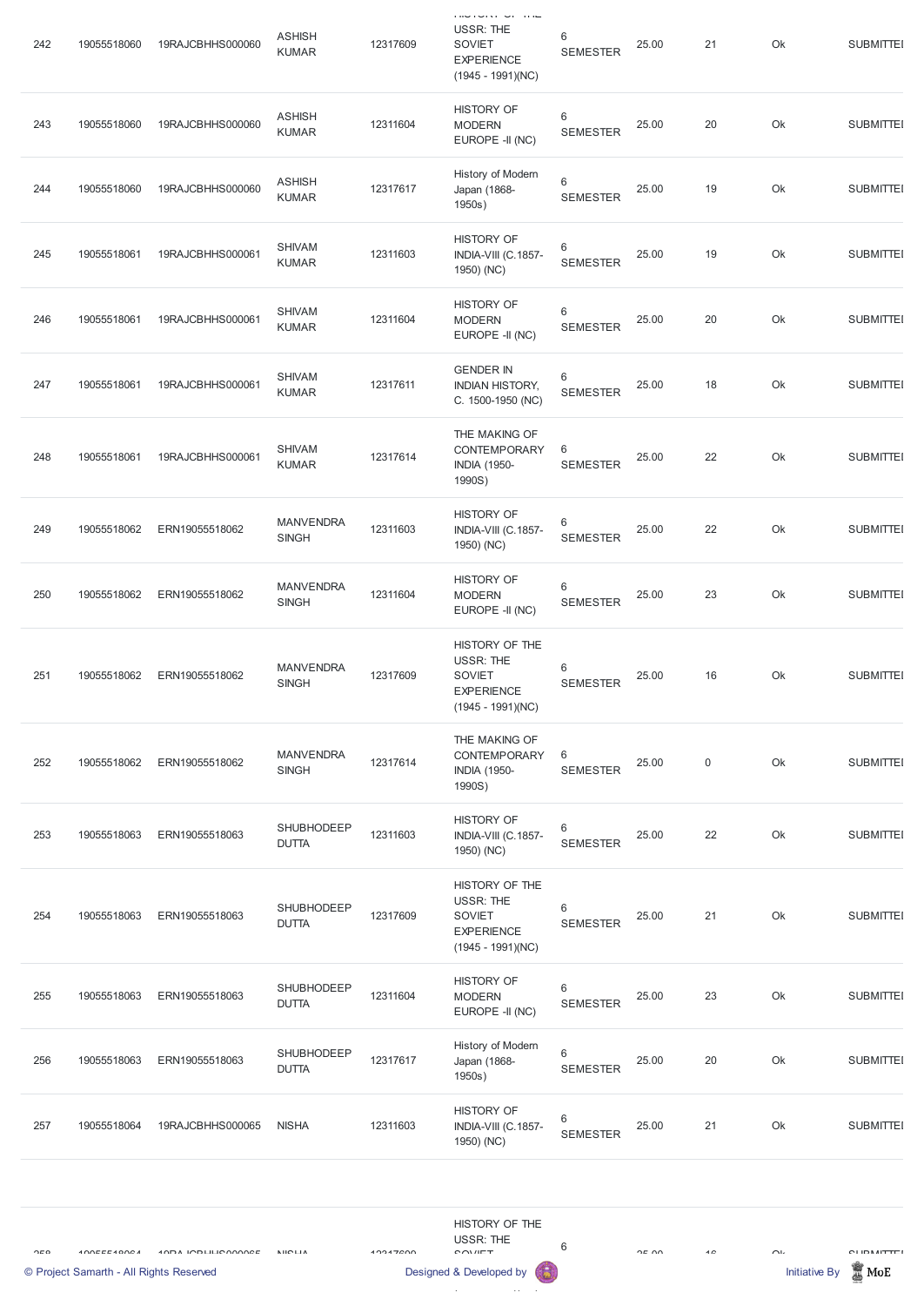|     | © Project Samarth - All Rights Reserved |                                   |                                  |          | Designed & Developed by                                                                           |                          |       |                | <b>Initiative By</b> | $\mathbb Z$ MoE   |
|-----|-----------------------------------------|-----------------------------------|----------------------------------|----------|---------------------------------------------------------------------------------------------------|--------------------------|-------|----------------|----------------------|-------------------|
| OIO | 100EEL100A                              | <b><i>ANDA ICDULLE ANAMEE</i></b> | <b>NICLIA</b>                    | 10017200 | HISTORY OF THE<br><b>USSR: THE</b><br><b>COVIET</b>                                               | 6                        | OF UU | 4C             | $\cap$               | <b>CLIDMITTEI</b> |
| 257 | 19055518064                             | 19RAJCBHHS000065                  | <b>NISHA</b>                     | 12311603 | <b>HISTORY OF</b><br>INDIA-VIII (C.1857-<br>1950) (NC)                                            | 6<br><b>SEMESTER</b>     | 25.00 | 21             | Ok                   | <b>SUBMITTEI</b>  |
| 256 | 19055518063                             | ERN19055518063                    | SHUBHODEEP<br><b>DUTTA</b>       | 12317617 | History of Modern<br>Japan (1868-<br>1950s)                                                       | 6<br><b>SEMESTER</b>     | 25.00 | 20             | Ok                   | <b>SUBMITTEI</b>  |
| 255 | 19055518063                             | ERN19055518063                    | SHUBHODEEP<br><b>DUTTA</b>       | 12311604 | <b>HISTORY OF</b><br><b>MODERN</b><br>EUROPE -II (NC)                                             | $\,6$<br><b>SEMESTER</b> | 25.00 | 23             | Ok                   | <b>SUBMITTEI</b>  |
| 254 | 19055518063                             | ERN19055518063                    | SHUBHODEEP<br><b>DUTTA</b>       | 12317609 | HISTORY OF THE<br><b>USSR: THE</b><br>SOVIET<br><b>EXPERIENCE</b><br>$(1945 - 1991)(NC)$          | $6\,$<br><b>SEMESTER</b> | 25.00 | 21             | Ok                   | <b>SUBMITTEI</b>  |
| 253 | 19055518063                             | ERN19055518063                    | SHUBHODEEP<br><b>DUTTA</b>       | 12311603 | <b>HISTORY OF</b><br>INDIA-VIII (C.1857-<br>1950) (NC)                                            | $6\,$<br><b>SEMESTER</b> | 25.00 | 22             | Ok                   | <b>SUBMITTEI</b>  |
| 252 | 19055518062                             | ERN19055518062                    | <b>MANVENDRA</b><br><b>SINGH</b> | 12317614 | THE MAKING OF<br>CONTEMPORARY<br><b>INDIA (1950-</b><br>1990S)                                    | 6<br><b>SEMESTER</b>     | 25.00 | $\overline{0}$ | Ok                   | <b>SUBMITTEI</b>  |
| 251 | 19055518062                             | ERN19055518062                    | <b>MANVENDRA</b><br><b>SINGH</b> | 12317609 | HISTORY OF THE<br><b>USSR: THE</b><br><b>SOVIET</b><br><b>EXPERIENCE</b><br>$(1945 - 1991)(NC)$   | $\,6$<br><b>SEMESTER</b> | 25.00 | 16             | Ok                   | <b>SUBMITTEI</b>  |
| 250 | 19055518062                             | ERN19055518062                    | <b>MANVENDRA</b><br><b>SINGH</b> | 12311604 | <b>HISTORY OF</b><br><b>MODERN</b><br>EUROPE -II (NC)                                             | 6<br><b>SEMESTER</b>     | 25.00 | 23             | Ok                   | <b>SUBMITTEI</b>  |
| 249 | 19055518062                             | ERN19055518062                    | <b>MANVENDRA</b><br><b>SINGH</b> | 12311603 | <b>HISTORY OF</b><br>INDIA-VIII (C.1857-<br>1950) (NC)                                            | 6<br><b>SEMESTER</b>     | 25.00 | 22             | Ok                   | <b>SUBMITTEI</b>  |
| 248 | 19055518061                             | 19RAJCBHHS000061                  | <b>SHIVAM</b><br><b>KUMAR</b>    | 12317614 | THE MAKING OF<br>CONTEMPORARY<br><b>INDIA (1950-</b><br>1990S)                                    | 6<br><b>SEMESTER</b>     | 25.00 | 22             | Ok                   | <b>SUBMITTEI</b>  |
| 247 | 19055518061                             | 19RAJCBHHS000061                  | <b>SHIVAM</b><br><b>KUMAR</b>    | 12317611 | <b>GENDER IN</b><br><b>INDIAN HISTORY,</b><br>C. 1500-1950 (NC)                                   | $6\,$<br><b>SEMESTER</b> | 25.00 | 18             | Ok                   | <b>SUBMITTEI</b>  |
| 246 | 19055518061                             | 19RAJCBHHS000061                  | <b>SHIVAM</b><br><b>KUMAR</b>    | 12311604 | <b>HISTORY OF</b><br><b>MODERN</b><br>EUROPE -II (NC)                                             | $6\,$<br><b>SEMESTER</b> | 25.00 | 20             | Ok                   | <b>SUBMITTEI</b>  |
| 245 | 19055518061                             | 19RAJCBHHS000061                  | <b>SHIVAM</b><br><b>KUMAR</b>    | 12311603 | <b>HISTORY OF</b><br>INDIA-VIII (C.1857-<br>1950) (NC)                                            | $6\,$<br><b>SEMESTER</b> | 25.00 | 19             | Ok                   | <b>SUBMITTEI</b>  |
| 244 | 19055518060                             | 19RAJCBHHS000060                  | <b>ASHISH</b><br><b>KUMAR</b>    | 12317617 | History of Modern<br>Japan (1868-<br>1950s)                                                       | $6\,$<br><b>SEMESTER</b> | 25.00 | 19             | Ok                   | <b>SUBMITTEI</b>  |
| 243 | 19055518060                             | 19RAJCBHHS000060                  | <b>ASHISH</b><br><b>KUMAR</b>    | 12311604 | <b>HISTORY OF</b><br><b>MODERN</b><br>EUROPE -II (NC)                                             | 6<br><b>SEMESTER</b>     | 25.00 | 20             | Ok                   | <b>SUBMITTEI</b>  |
| 242 | 19055518060                             | 19RAJCBHHS000060                  | <b>ASHISH</b><br><b>KUMAR</b>    | 12317609 | שווה וטרומוסוטות<br><b>USSR: THE</b><br><b>SOVIET</b><br><b>EXPERIENCE</b><br>$(1945 - 1991)(NC)$ | 6<br><b>SEMESTER</b>     | 25.00 | 21             | Ok                   | <b>SUBMITTEI</b>  |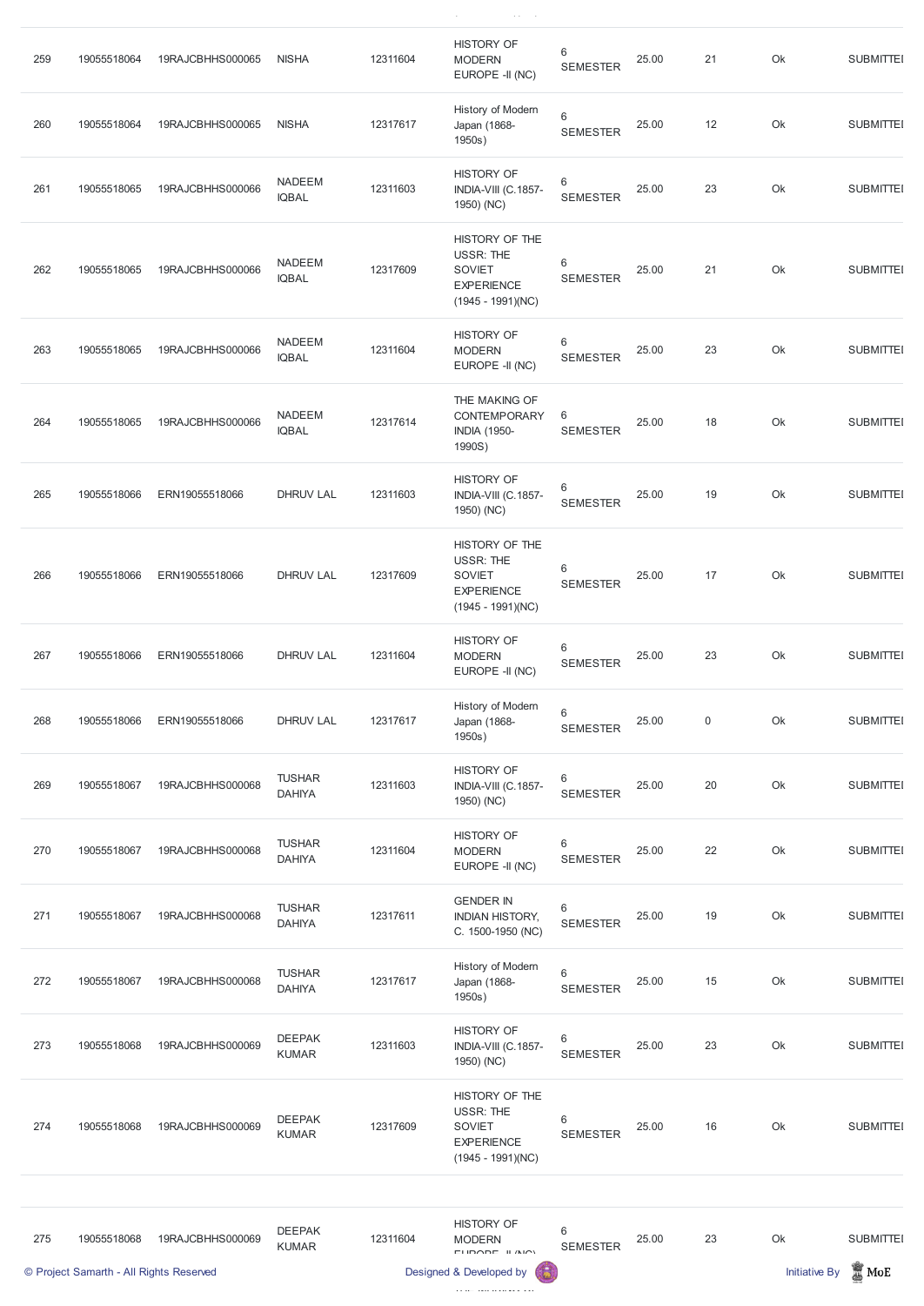| 259 | 19055518064                             | 19RAJCBHHS000065 | <b>NISHA</b>                   | 12311604                | <b>HISTORY OF</b><br><b>MODERN</b><br>EUROPE -II (NC)                                           | $\,6\,$<br><b>SEMESTER</b>         | 25.00 | 21                   | Ok              | <b>SUBMITTEI</b> |
|-----|-----------------------------------------|------------------|--------------------------------|-------------------------|-------------------------------------------------------------------------------------------------|------------------------------------|-------|----------------------|-----------------|------------------|
| 260 | 19055518064                             | 19RAJCBHHS000065 | <b>NISHA</b>                   | 12317617                | History of Modern<br>Japan (1868-<br>1950s)                                                     | $\,6\,$<br><b>SEMESTER</b>         | 25.00 | 12                   | Ok              | <b>SUBMITTEI</b> |
| 261 | 19055518065                             | 19RAJCBHHS000066 | <b>NADEEM</b><br><b>IQBAL</b>  | 12311603                | <b>HISTORY OF</b><br>INDIA-VIII (C.1857-<br>1950) (NC)                                          | $\,6\,$<br><b>SEMESTER</b>         | 25.00 | 23                   | Ok              | <b>SUBMITTEI</b> |
| 262 | 19055518065                             | 19RAJCBHHS000066 | <b>NADEEM</b><br><b>IQBAL</b>  | 12317609                | HISTORY OF THE<br><b>USSR: THE</b><br><b>SOVIET</b><br><b>EXPERIENCE</b><br>$(1945 - 1991)(NC)$ | $6\phantom{1}$<br><b>SEMESTER</b>  | 25.00 | 21                   | Ok              | <b>SUBMITTEI</b> |
| 263 | 19055518065                             | 19RAJCBHHS000066 | <b>NADEEM</b><br><b>IQBAL</b>  | 12311604                | <b>HISTORY OF</b><br><b>MODERN</b><br>EUROPE -II (NC)                                           | $\,6\,$<br><b>SEMESTER</b>         | 25.00 | 23                   | Ok              | <b>SUBMITTEI</b> |
| 264 | 19055518065                             | 19RAJCBHHS000066 | <b>NADEEM</b><br><b>IQBAL</b>  | 12317614                | THE MAKING OF<br>CONTEMPORARY<br><b>INDIA (1950-</b><br>1990S)                                  | $6\,$<br><b>SEMESTER</b>           | 25.00 | 18                   | Ok              | <b>SUBMITTEI</b> |
| 265 | 19055518066                             | ERN19055518066   | <b>DHRUV LAL</b>               | 12311603                | <b>HISTORY OF</b><br>INDIA-VIII (C.1857-<br>1950) (NC)                                          | $\,6\,$<br><b>SEMESTER</b>         | 25.00 | 19                   | Ok              | <b>SUBMITTEI</b> |
| 266 | 19055518066                             | ERN19055518066   | <b>DHRUV LAL</b>               | 12317609                | HISTORY OF THE<br><b>USSR: THE</b><br><b>SOVIET</b><br><b>EXPERIENCE</b><br>$(1945 - 1991)(NC)$ | $\,6\,$<br><b>SEMESTER</b>         | 25.00 | 17                   | Ok              | <b>SUBMITTEI</b> |
| 267 | 19055518066                             | ERN19055518066   | <b>DHRUV LAL</b>               | 12311604                | <b>HISTORY OF</b><br><b>MODERN</b><br>EUROPE -II (NC)                                           | $\,6\,$<br><b>SEMESTER</b>         | 25.00 | 23                   | Ok              | <b>SUBMITTEI</b> |
| 268 | 19055518066                             | ERN19055518066   | <b>DHRUV LAL</b>               | 12317617                | History of Modern<br>Japan (1868-<br>1950s)                                                     | $\,6\,$<br><b>SEMESTER</b>         | 25.00 | $\mathbf 0$          | Ok              | <b>SUBMITTEI</b> |
| 269 | 19055518067                             | 19RAJCBHHS000068 | <b>TUSHAR</b><br><b>DAHIYA</b> | 12311603                | <b>HISTORY OF</b><br>INDIA-VIII (C.1857-<br>1950) (NC)                                          | $\,6\,$<br><b>SEMESTER</b>         | 25.00 | 20                   | Ok              | <b>SUBMITTEI</b> |
| 270 | 19055518067                             | 19RAJCBHHS000068 | <b>TUSHAR</b><br><b>DAHIYA</b> | 12311604                | <b>HISTORY OF</b><br><b>MODERN</b><br>EUROPE -II (NC)                                           | $\,6\,$<br><b>SEMESTER</b>         | 25.00 | 22                   | Ok              | <b>SUBMITTEI</b> |
| 271 | 19055518067                             | 19RAJCBHHS000068 | <b>TUSHAR</b><br><b>DAHIYA</b> | 12317611                | <b>GENDER IN</b><br><b>INDIAN HISTORY,</b><br>C. 1500-1950 (NC)                                 | $\,6\,$<br><b>SEMESTER</b>         | 25.00 | 19                   | Ok              | <b>SUBMITTEI</b> |
| 272 | 19055518067                             | 19RAJCBHHS000068 | <b>TUSHAR</b><br><b>DAHIYA</b> | 12317617                | History of Modern<br>Japan (1868-<br>1950s)                                                     | $\,6\,$<br><b>SEMESTER</b>         | 25.00 | 15                   | Ok              | <b>SUBMITTEI</b> |
| 273 | 19055518068                             | 19RAJCBHHS000069 | <b>DEEPAK</b><br><b>KUMAR</b>  | 12311603                | <b>HISTORY OF</b><br>INDIA-VIII (C.1857-<br>1950) (NC)                                          | $6\phantom{1}6$<br><b>SEMESTER</b> | 25.00 | 23                   | Ok              | <b>SUBMITTEI</b> |
| 274 | 19055518068                             | 19RAJCBHHS000069 | <b>DEEPAK</b><br><b>KUMAR</b>  | 12317609                | HISTORY OF THE<br><b>USSR: THE</b><br><b>SOVIET</b><br><b>EXPERIENCE</b><br>$(1945 - 1991)(NC)$ | $6\phantom{1}6$<br><b>SEMESTER</b> | 25.00 | 16                   | Ok              | <b>SUBMITTEI</b> |
|     |                                         |                  |                                |                         |                                                                                                 |                                    |       |                      |                 |                  |
| 275 | 19055518068                             | 19RAJCBHHS000069 | <b>DEEPAK</b><br><b>KUMAR</b>  | 12311604                | <b>HISTORY OF</b><br><b>MODERN</b><br>ELIDADE IL (NO)                                           | $6\phantom{1}6$<br><b>SEMESTER</b> | 25.00 | 23                   | Ok              | <b>SUBMITTEI</b> |
|     | © Project Samarth - All Rights Reserved |                  |                                | Designed & Developed by |                                                                                                 |                                    |       | <b>Initiative By</b> | $\mathbb Z$ MoE |                  |

 $\langle \hat{N} \rangle$  ( ) and ) and  $\langle \hat{N} \rangle$  ( ) and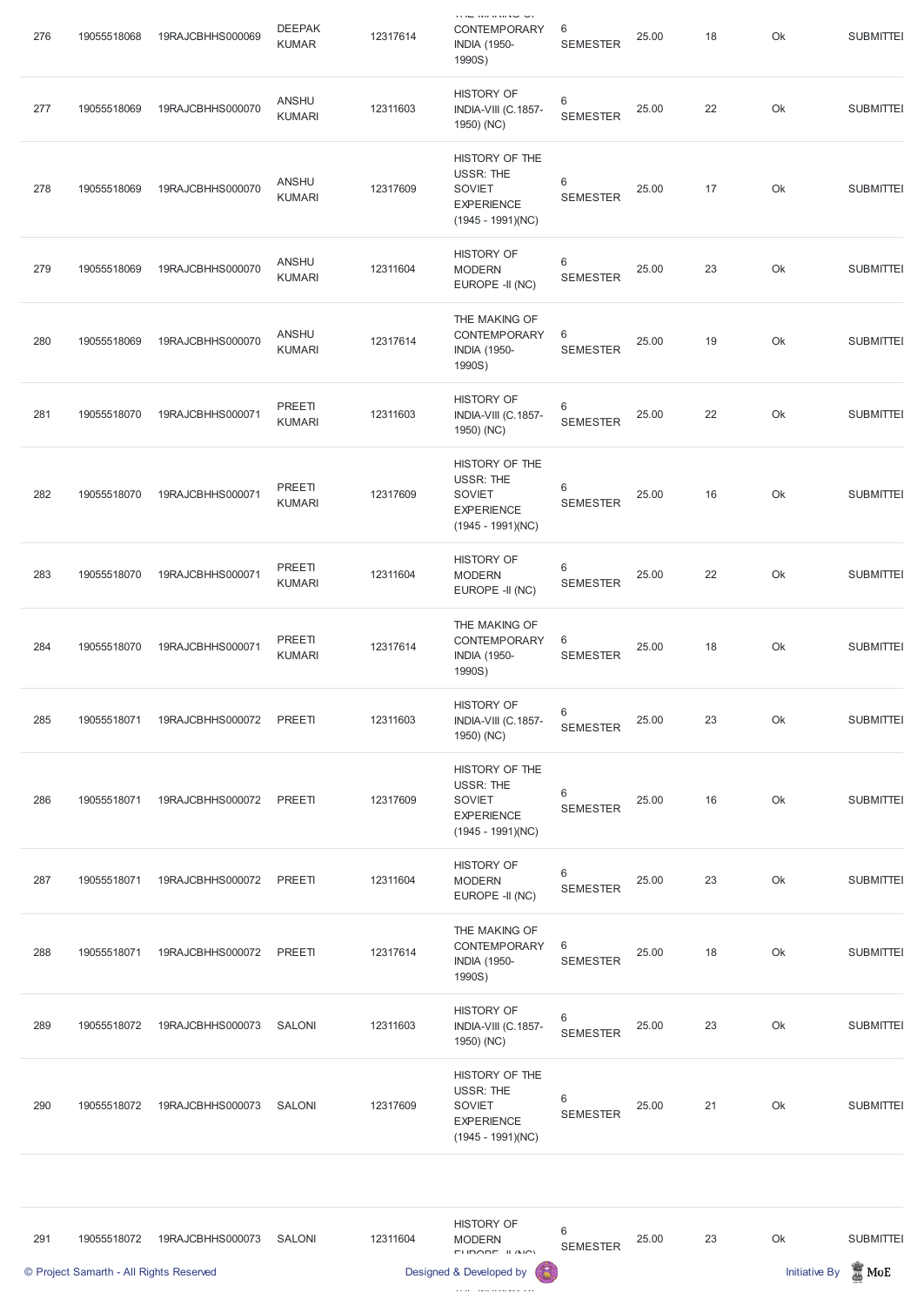| 276 | 19055518068 | 19RAJCBHHS000069 | <b>DEEPAK</b><br><b>KUMAR</b> | 12317614 | <b>DE DE DE LA SERVIT EN LA</b><br>CONTEMPORARY<br><b>INDIA (1950-</b><br>1990S)                | 6<br><b>SEMESTER</b>     | 25.00 | 18 | Ok | <b>SUBMITTEI</b> |
|-----|-------------|------------------|-------------------------------|----------|-------------------------------------------------------------------------------------------------|--------------------------|-------|----|----|------------------|
| 277 | 19055518069 | 19RAJCBHHS000070 | <b>ANSHU</b><br><b>KUMARI</b> | 12311603 | <b>HISTORY OF</b><br>INDIA-VIII (C.1857-<br>1950) (NC)                                          | 6<br><b>SEMESTER</b>     | 25.00 | 22 | Ok | <b>SUBMITTEI</b> |
| 278 | 19055518069 | 19RAJCBHHS000070 | <b>ANSHU</b><br><b>KUMARI</b> | 12317609 | HISTORY OF THE<br><b>USSR: THE</b><br><b>SOVIET</b><br><b>EXPERIENCE</b><br>$(1945 - 1991)(NC)$ | 6<br><b>SEMESTER</b>     | 25.00 | 17 | Ok | <b>SUBMITTEI</b> |
| 279 | 19055518069 | 19RAJCBHHS000070 | <b>ANSHU</b><br><b>KUMARI</b> | 12311604 | <b>HISTORY OF</b><br><b>MODERN</b><br>EUROPE -II (NC)                                           | 6<br><b>SEMESTER</b>     | 25.00 | 23 | Ok | <b>SUBMITTEI</b> |
| 280 | 19055518069 | 19RAJCBHHS000070 | <b>ANSHU</b><br><b>KUMARI</b> | 12317614 | THE MAKING OF<br>CONTEMPORARY<br><b>INDIA (1950-</b><br>1990S)                                  | 6<br><b>SEMESTER</b>     | 25.00 | 19 | Ok | <b>SUBMITTEI</b> |
| 281 | 19055518070 | 19RAJCBHHS000071 | PREETI<br><b>KUMARI</b>       | 12311603 | <b>HISTORY OF</b><br>INDIA-VIII (C.1857-<br>1950) (NC)                                          | 6<br><b>SEMESTER</b>     | 25.00 | 22 | Ok | <b>SUBMITTEI</b> |
| 282 | 19055518070 | 19RAJCBHHS000071 | PREETI<br><b>KUMARI</b>       | 12317609 | HISTORY OF THE<br><b>USSR: THE</b><br><b>SOVIET</b><br><b>EXPERIENCE</b><br>$(1945 - 1991)(NC)$ | 6<br><b>SEMESTER</b>     | 25.00 | 16 | Ok | <b>SUBMITTEI</b> |
| 283 | 19055518070 | 19RAJCBHHS000071 | PREETI<br><b>KUMARI</b>       | 12311604 | <b>HISTORY OF</b><br><b>MODERN</b><br>EUROPE -II (NC)                                           | $6\,$<br><b>SEMESTER</b> | 25.00 | 22 | Ok | <b>SUBMITTEI</b> |
| 284 | 19055518070 | 19RAJCBHHS000071 | PREETI<br><b>KUMARI</b>       | 12317614 | THE MAKING OF<br>CONTEMPORARY<br><b>INDIA (1950-</b><br>1990S)                                  | 6<br><b>SEMESTER</b>     | 25.00 | 18 | Ok | <b>SUBMITTEI</b> |
| 285 | 19055518071 | 19RAJCBHHS000072 | PREETI                        | 12311603 | <b>HISTORY OF</b><br>INDIA-VIII (C.1857-<br>1950) (NC)                                          | 6<br><b>SEMESTER</b>     | 25.00 | 23 | Ok | <b>SUBMITTEI</b> |
| 286 | 19055518071 | 19RAJCBHHS000072 | PREETI                        | 12317609 | HISTORY OF THE<br>USSR: THE<br><b>SOVIET</b><br><b>EXPERIENCE</b><br>$(1945 - 1991)(NC)$        | 6<br><b>SEMESTER</b>     | 25.00 | 16 | Ok | <b>SUBMITTEI</b> |
| 287 | 19055518071 | 19RAJCBHHS000072 | PREETI                        | 12311604 | <b>HISTORY OF</b><br><b>MODERN</b><br>EUROPE -II (NC)                                           | 6<br><b>SEMESTER</b>     | 25.00 | 23 | Ok | <b>SUBMITTEI</b> |
| 288 | 19055518071 | 19RAJCBHHS000072 | PREETI                        | 12317614 | THE MAKING OF<br><b>CONTEMPORARY</b><br><b>INDIA (1950-</b><br>1990S)                           | 6<br><b>SEMESTER</b>     | 25.00 | 18 | Ok | <b>SUBMITTEI</b> |

| 289 | 19055518072 | 19RAJCBHHS000073 | SALONI | 12311603 | <b>HISTORY OF</b><br><b>INDIA-VIII (C.1857-</b><br>1950) (NC)                            | 6<br><b>SEMESTER</b> | 25.00 | 23 | Ok | <b>SUBMITTEI</b> |
|-----|-------------|------------------|--------|----------|------------------------------------------------------------------------------------------|----------------------|-------|----|----|------------------|
| 290 | 19055518072 | 19RAJCBHHS000073 | SALONI | 12317609 | HISTORY OF THE<br>USSR: THE<br><b>SOVIET</b><br><b>EXPERIENCE</b><br>$(1945 - 1991)(NC)$ | 6<br><b>SEMESTER</b> | 25.00 | 21 | Ok | <b>SUBMITTEI</b> |